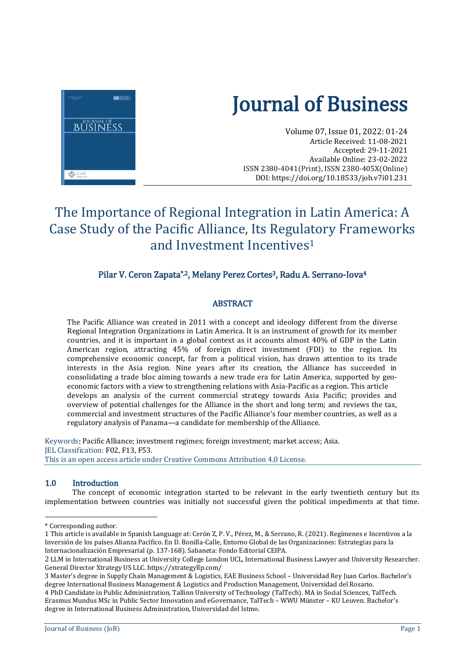

# Journal of Business

Volume 07, Issue 01, 2022: 01-24 Article Received: 11-08-2021 Accepted: 29-11-2021 Available Online: 23-02-2022 ISSN 2380-4041(Print), ISSN 2380-405X(Online) DOI[: https://doi.org/10.18533/job.v7i01.231](https://doi.org/10.18533/job.v7i01.231)

# The Importance of Regional Integration in Latin America: A Case Study of the Pacific Alliance, Its Regulatory Frameworks and Investment Incentives<sup>1</sup>

## Pilar V. Ceron Zapata<sup>\*,2</sup>, Melany Perez Cortes<sup>3</sup>, Radu A. Serrano-Iova<sup>4</sup>

### **ABSTRACT**

The Pacific Alliance was created in 2011 with a concept and ideology different from the diverse Regional Integration Organizations in Latin America. It is an instrument of growth for its member countries, and it is important in a global context as it accounts almost 40% of GDP in the Latin American region, attracting 45% of foreign direct investment (FDI) to the region. Its comprehensive economic concept, far from a political vision, has drawn attention to its trade interests in the Asia region. Nine years after its creation, the Alliance has succeeded in consolidating a trade bloc aiming towards a new trade era for Latin America, supported by geoeconomic factors with a view to strengthening relations with Asia-Pacific as a region. This article develops an analysis of the current commercial strategy towards Asia Pacific; provides and overview of potential challenges for the Alliance in the short and long term; and reviews the tax, commercial and investment structures of the Pacific Alliance's four member countries, as well as a regulatory analysis of Panama—a candidate for membership of the Alliance.

Keywords: Pacific Alliance; investment regimes; foreign investment; market access; Asia. JEL Classification: F02, F13, F53. This is an open access article under Creative Commons Attribution 4.0 License.

#### 1.0 Introduction

The concept of economic integration started to be relevant in the early twentieth century but its implementation between countries was initially not successful given the political impediments at that time.

 $\overline{a}$ 

<sup>\*</sup> Corresponding author.

<sup>1</sup> This article is available in Spanish Language at: Cerón Z, P. V., Pérez, M., & Serrano, R. (2021). Regímenes e Incentivos a la Inversión de los países Alianza Pacífico. En D. Bonilla-Calle, Entorno Global de las Organizaciones: Estrategias para la Internacionalización Empresarial (p. 137-168). Sabaneta: Fondo Editorial CEIPA.

<sup>2</sup> LLM in International Business at University College London UCL, International Business Lawyer and University Researcher. General Director Xtrategy US LLC. https://xtrategyllp.com/

<sup>3</sup> Master's degree in Supply Chain Management & Logistics, EAE Business School – Universidad Rey Juan Carlos. Bachelor's degree International Business Management & Logistics and Production Management, Universidad del Rosario.

<sup>4</sup> PhD Candidate in Public Administration, Tallinn University of Technology (TalTech). MA in Social Sciences, TalTech. Erasmus Mundus MSc in Public Sector Innovation and eGovernance, TalTech – WWU Münster – KU Leuven. Bachelor's degree in International Business Administration, Universidad del Istmo.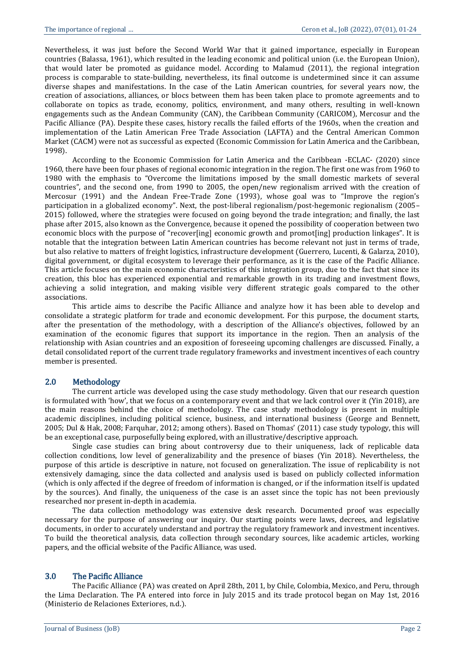Nevertheless, it was just before the Second World War that it gained importance, especially in European countries (Balassa, 1961), which resulted in the leading economic and political union (i.e. the European Union), that would later be promoted as guidance model. According to Malamud (2011), the regional integration process is comparable to state-building, nevertheless, its final outcome is undetermined since it can assume diverse shapes and manifestations. In the case of the Latin American countries, for several years now, the creation of associations, alliances, or blocs between them has been taken place to promote agreements and to collaborate on topics as trade, economy, politics, environment, and many others, resulting in well-known engagements such as the Andean Community (CAN), the Caribbean Community (CARICOM), Mercosur and the Pacific Alliance (PA). Despite these cases, history recalls the failed efforts of the 1960s, when the creation and implementation of the Latin American Free Trade Association (LAFTA) and the Central American Common Market (CACM) were not as successful as expected (Economic Commission for Latin America and the Caribbean, 1998).

According to the Economic Commission for Latin America and the Caribbean -ECLAC- (2020) since 1960, there have been four phases of regional economic integration in the region. The first one was from 1960 to 1980 with the emphasis to "Overcome the limitations imposed by the small domestic markets of several countries", and the second one, from 1990 to 2005, the open/new regionalism arrived with the creation of Mercosur (1991) and the Andean Free-Trade Zone (1993), whose goal was to "Improve the region's participation in a globalized economy". Next, the post-liberal regionalism/post-hegemonic regionalism (2005– 2015) followed, where the strategies were focused on going beyond the trade integration; and finally, the last phase after 2015, also known as the Convergence, because it opened the possibility of cooperation between two economic blocs with the purpose of "recover[ing] economic growth and promot[ing] production linkages". It is notable that the integration between Latin American countries has become relevant not just in terms of trade, but also relative to matters of freight logistics, infrastructure development (Guerrero, Lucenti, & Galarza, 2010), digital government, or digital ecosystem to leverage their performance, as it is the case of the Pacific Alliance. This article focuses on the main economic characteristics of this integration group, due to the fact that since its creation, this bloc has experienced exponential and remarkable growth in its trading and investment flows, achieving a solid integration, and making visible very different strategic goals compared to the other associations.

This article aims to describe the Pacific Alliance and analyze how it has been able to develop and consolidate a strategic platform for trade and economic development. For this purpose, the document starts, after the presentation of the methodology, with a description of the Alliance's objectives, followed by an examination of the economic figures that support its importance in the region. Then an analysis of the relationship with Asian countries and an exposition of foreseeing upcoming challenges are discussed. Finally, a detail consolidated report of the current trade regulatory frameworks and investment incentives of each country member is presented.

#### 2.0 Methodology

The current article was developed using the case study methodology. Given that our research question is formulated with 'how', that we focus on a contemporary event and that we lack control over it (Yin 2018), are the main reasons behind the choice of methodology. The case study methodology is present in multiple academic disciplines, including political science, business, and international business (George and Bennett, 2005; Dul & Hak, 2008; Farquhar, 2012; among others). Based on Thomas' (2011) case study typology, this will be an exceptional case, purposefully being explored, with an illustrative/descriptive approach.

Single case studies can bring about controversy due to their uniqueness, lack of replicable data collection conditions, low level of generalizability and the presence of biases (Yin 2018). Nevertheless, the purpose of this article is descriptive in nature, not focused on generalization. The issue of replicability is not extensively damaging, since the data collected and analysis used is based on publicly collected information (which is only affected if the degree of freedom of information is changed, or if the information itself is updated by the sources). And finally, the uniqueness of the case is an asset since the topic has not been previously researched nor present in-depth in academia.

The data collection methodology was extensive desk research. Documented proof was especially necessary for the purpose of answering our inquiry. Our starting points were laws, decrees, and legislative documents, in order to accurately understand and portray the regulatory framework and investment incentives. To build the theoretical analysis, data collection through secondary sources, like academic articles, working papers, and the official website of the Pacific Alliance, was used.

#### 3.0 The Pacific Alliance

The Pacific Alliance (PA) was created on April 28th, 2011, by Chile, Colombia, Mexico, and Peru, through the Lima Declaration. The PA entered into force in July 2015 and its trade protocol began on May 1st, 2016 (Ministerio de Relaciones Exteriores, n.d.).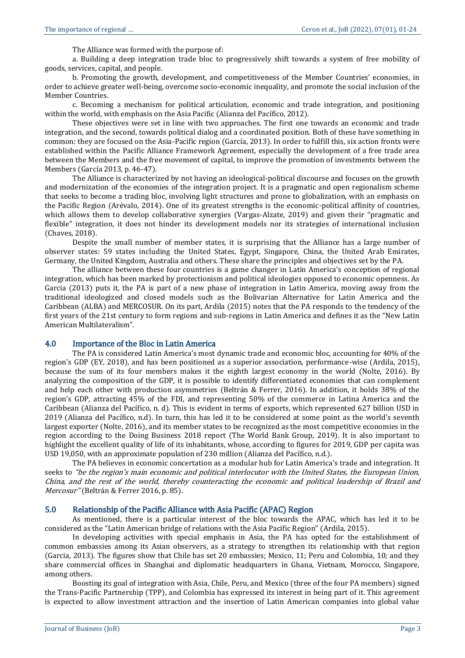The Alliance was formed with the purpose of:

a. Building a deep integration trade bloc to progressively shift towards a system of free mobility of goods, services, capital, and people.

b. Promoting the growth, development, and competitiveness of the Member Countries' economies, in order to achieve greater well-being, overcome socio-economic inequality, and promote the social inclusion of the Member Countries.

c. Becoming a mechanism for political articulation, economic and trade integration, and positioning within the world, with emphasis on the Asia Pacific (Alianza del Pacífico, 2012).

These objectives were set in line with two approaches. The first one towards an economic and trade integration, and the second, towards political dialog and a coordinated position. Both of these have something in common: they are focused on the Asia-Pacific region (García, 2013). In order to fulfill this, six action fronts were established within the Pacific Alliance Framework Agreement, especially the development of a free trade area between the Members and the free movement of capital, to improve the promotion of investments between the Members (García 2013, p. 46-47).

The Alliance is characterized by not having an ideological-political discourse and focuses on the growth and modernization of the economies of the integration project. It is a pragmatic and open regionalism scheme that seeks to become a trading bloc, involving light structures and prone to globalization, with an emphasis on the Pacific Region (Arévalo, 2014). One of its greatest strengths is the economic-political affinity of countries, which allows them to develop collaborative synergies (Vargas-Alzate, 2019) and given their "pragmatic and flexible" integration, it does not hinder its development models nor its strategies of international inclusion (Chaves, 2018).

Despite the small number of member states, it is surprising that the Alliance has a large number of observer states: 59 states including the United States, Egypt, Singapore, China, the United Arab Emirates, Germany, the United Kingdom, Australia and others. These share the principles and objectives set by the PA.

The alliance between these four countries is a game changer in Latin America's conception of regional integration, which has been marked by protectionism and political ideologies opposed to economic openness. As Garcia (2013) puts it, the PA is part of a new phase of integration in Latin America, moving away from the traditional ideologized and closed models such as the Bolivarian Alternative for Latin America and the Caribbean (ALBA) and MERCOSUR. On its part, Ardila (2015) notes that the PA responds to the tendency of the first years of the 21st century to form regions and sub-regions in Latin America and defines it as the "New Latin American Multilateralism".

#### 4.0 Importance of the Bloc in Latin America

The PA is considered Latin America's most dynamic trade and economic bloc, accounting for 40% of the region's GDP (EY, 2018), and has been positioned as a superior association, performance-wise (Ardila, 2015), because the sum of its four members makes it the eighth largest economy in the world (Nolte, 2016). By analyzing the composition of the GDP, it is possible to identify differentiated economies that can complement and help each other with production asymmetries (Beltrán & Ferrer, 2016). In addition, it holds 38% of the region's GDP, attracting 45% of the FDI, and representing 50% of the commerce in Latina America and the Caribbean (Alianza del Pacífico, n. d). This is evident in terms of exports, which represented 627 billion USD in 2019 (Alianza del Pacífico, n.d). In turn, this has led it to be considered at some point as the world's seventh largest exporter (Nolte, 2016), and its member states to be recognized as the most competitive economies in the region according to the Doing Business 2018 report (The World Bank Group, 2019). It is also important to highlight the excellent quality of life of its inhabitants, whose, according to figures for 2019, GDP per capita was USD 19,050, with an approximate population of 230 million (Alianza del Pacífico, n.d.).

The PA believes in economic concertation as a modular hub for Latin America's trade and integration. It seeks to "be the region's main economic and political interlocutor with the United States, the European Union, China, and the rest of the world, thereby counteracting the economic and political leadership of Brazil and Mercosur" (Beltrán & Ferrer 2016, p. 85).

#### 5.0 Relationship of the Pacific Alliance with Asia Pacific (APAC) Region

As mentioned, there is a particular interest of the bloc towards the APAC, which has led it to be considered as the "Latin American bridge of relations with the Asia Pacific Region" (Ardila, 2015).

In developing activities with special emphasis in Asia, the PA has opted for the establishment of common embassies among its Asian observers, as a strategy to strengthen its relationship with that region (Garcia, 2013). The figures show that Chile has set 20 embassies; Mexico, 11; Peru and Colombia, 10; and they share commercial offices in Shanghai and diplomatic headquarters in Ghana, Vietnam, Morocco, Singapore, among others.

Boosting its goal of integration with Asia, Chile, Peru, and Mexico (three of the four PA members) signed the Trans-Pacific Partnership (TPP), and Colombia has expressed its interest in being part of it. This agreement is expected to allow investment attraction and the insertion of Latin American companies into global value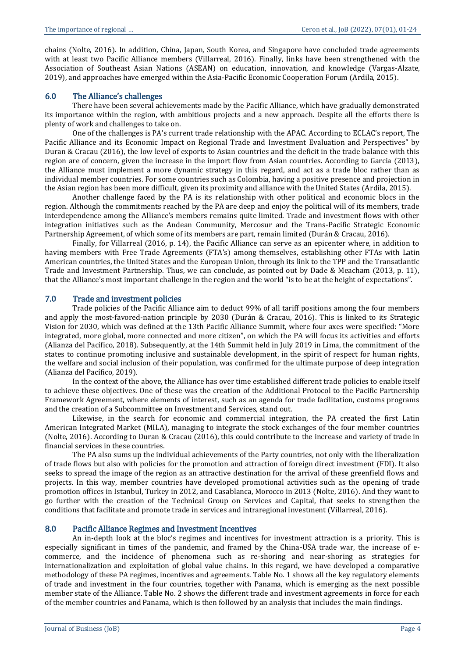chains (Nolte, 2016). In addition, China, Japan, South Korea, and Singapore have concluded trade agreements with at least two Pacific Alliance members (Villarreal, 2016). Finally, links have been strengthened with the Association of Southeast Asian Nations (ASEAN) on education, innovation, and knowledge (Vargas-Alzate, 2019), and approaches have emerged within the Asia-Pacific Economic Cooperation Forum (Ardila, 2015).

#### 6.0 The Alliance's challenges

There have been several achievements made by the Pacific Alliance, which have gradually demonstrated its importance within the region, with ambitious projects and a new approach. Despite all the efforts there is plenty of work and challenges to take on.

One of the challenges is PA's current trade relationship with the APAC. According to ECLAC's report, The Pacific Alliance and its Economic Impact on Regional Trade and Investment Evaluation and Perspectives" by Duran & Cracau (2016), the low level of exports to Asian countries and the deficit in the trade balance with this region are of concern, given the increase in the import flow from Asian countries. According to Garcia (2013), the Alliance must implement a more dynamic strategy in this regard, and act as a trade bloc rather than as individual member countries. For some countries such as Colombia, having a positive presence and projection in the Asian region has been more difficult, given its proximity and alliance with the United States (Ardila, 2015).

Another challenge faced by the PA is its relationship with other political and economic blocs in the region. Although the commitments reached by the PA are deep and enjoy the political will of its members, trade interdependence among the Alliance's members remains quite limited. Trade and investment flows with other integration initiatives such as the Andean Community, Mercosur and the Trans-Pacific Strategic Economic Partnership Agreement, of which some of its members are part, remain limited (Durán & Cracau, 2016).

Finally, for Villarreal (2016, p. 14), the Pacific Alliance can serve as an epicenter where, in addition to having members with Free Trade Agreements (FTA's) among themselves, establishing other FTAs with Latin American countries, the United States and the European Union, through its link to the TPP and the Transatlantic Trade and Investment Partnership. Thus, we can conclude, as pointed out by Dade & Meacham (2013, p. 11), that the Alliance's most important challenge in the region and the world "is to be at the height of expectations".

#### 7.0 Trade and investment policies

Trade policies of the Pacific Alliance aim to deduct 99% of all tariff positions among the four members and apply the most-favored-nation principle by 2030 (Durán & Cracau, 2016). This is linked to its Strategic Vision for 2030, which was defined at the 13th Pacific Alliance Summit, where four axes were specified: "More integrated, more global, more connected and more citizen", on which the PA will focus its activities and efforts (Alianza del Pacífico, 2018). Subsequently, at the 14th Summit held in July 2019 in Lima, the commitment of the states to continue promoting inclusive and sustainable development, in the spirit of respect for human rights, the welfare and social inclusion of their population, was confirmed for the ultimate purpose of deep integration (Alianza del Pacífico, 2019).

In the context of the above, the Alliance has over time established different trade policies to enable itself to achieve these objectives. One of these was the creation of the Additional Protocol to the Pacific Partnership Framework Agreement, where elements of interest, such as an agenda for trade facilitation, customs programs and the creation of a Subcommittee on Investment and Services, stand out.

Likewise, in the search for economic and commercial integration, the PA created the first Latin American Integrated Market (MILA), managing to integrate the stock exchanges of the four member countries (Nolte, 2016). According to Duran & Cracau (2016), this could contribute to the increase and variety of trade in financial services in these countries.

The PA also sums up the individual achievements of the Party countries, not only with the liberalization of trade flows but also with policies for the promotion and attraction of foreign direct investment (FDI). It also seeks to spread the image of the region as an attractive destination for the arrival of these greenfield flows and projects. In this way, member countries have developed promotional activities such as the opening of trade promotion offices in Istanbul, Turkey in 2012, and Casablanca, Morocco in 2013 (Nolte, 2016). And they want to go further with the creation of the Technical Group on Services and Capital, that seeks to strengthen the conditions that facilitate and promote trade in services and intraregional investment (Villarreal, 2016).

#### 8.0 Pacific Alliance Regimes and Investment Incentives

An in-depth look at the bloc's regimes and incentives for investment attraction is a priority. This is especially significant in times of the pandemic, and framed by the China-USA trade war, the increase of ecommerce, and the incidence of phenomena such as re-shoring and near-shoring as strategies for internationalization and exploitation of global value chains. In this regard, we have developed a comparative methodology of these PA regimes, incentives and agreements. Table No. 1 shows all the key regulatory elements of trade and investment in the four countries, together with Panama, which is emerging as the next possible member state of the Alliance. Table No. 2 shows the different trade and investment agreements in force for each of the member countries and Panama, which is then followed by an analysis that includes the main findings.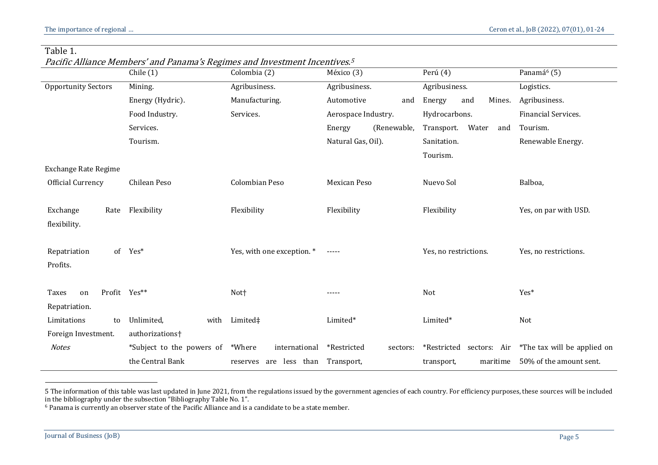| Table |
|-------|
|-------|

Pacific Alliance Members' and Panama's Regimes and Investment Incentives. 5

|                             | Chile(1)                         | Colombia (2)               | México (3)              | Perú (4)                   | Panamá <sup>6</sup> (5)     |
|-----------------------------|----------------------------------|----------------------------|-------------------------|----------------------------|-----------------------------|
| <b>Opportunity Sectors</b>  | Mining.                          | Agribusiness.              | Agribusiness.           | Agribusiness.              | Logistics.                  |
|                             | Energy (Hydric).                 | Manufacturing.             | Automotive<br>and       | Energy<br>and<br>Mines.    | Agribusiness.               |
|                             | Food Industry.                   | Services.                  | Aerospace Industry.     | Hydrocarbons.              | Financial Services.         |
|                             | Services.                        |                            | (Renewable,<br>Energy   | Transport.<br>Water<br>and | Tourism.                    |
|                             | Tourism.                         |                            | Natural Gas, Oil).      | Sanitation.                | Renewable Energy.           |
|                             |                                  |                            |                         | Tourism.                   |                             |
| <b>Exchange Rate Regime</b> |                                  |                            |                         |                            |                             |
| Official Currency           | Chilean Peso                     | Colombian Peso             | <b>Mexican Peso</b>     | Nuevo Sol                  | Balboa,                     |
|                             |                                  |                            |                         |                            |                             |
| Exchange<br>Rate            | Flexibility                      | Flexibility                | Flexibility             | Flexibility                | Yes, on par with USD.       |
| flexibility.                |                                  |                            |                         |                            |                             |
|                             |                                  |                            |                         |                            |                             |
| Repatriation                | of Yes*                          | Yes, with one exception. * | -----                   | Yes, no restrictions.      | Yes, no restrictions.       |
| Profits.                    |                                  |                            |                         |                            |                             |
|                             |                                  |                            |                         |                            |                             |
| Profit Yes**<br>Taxes<br>on |                                  | Not <sup>+</sup>           | -----                   | Not                        | Yes*                        |
| Repatriation.               |                                  |                            |                         |                            |                             |
| Limitations<br>to           | Unlimited,<br>with               | Limited‡                   | Limited*                | Limited*                   | Not                         |
| Foreign Investment.         | authorizations <sup>+</sup>      |                            |                         |                            |                             |
| <b>Notes</b>                | *Subject to the powers of *Where | international              | *Restricted<br>sectors: | *Restricted sectors: Air   | *The tax will be applied on |
|                             | the Central Bank                 | less than<br>reserves are  | Transport,              | maritime<br>transport,     | 50% of the amount sent.     |

<sup>5</sup> The information of this table was last updated in June 2021, from the regulations issued by the government agencies of each country. For efficiency purposes, these sources will be included in the bibliography under the subsection "Bibliography Table No. 1".

 $\overline{a}$ 

<sup>6</sup> Panama is currently an observer state of the Pacific Alliance and is a candidate to be a state member.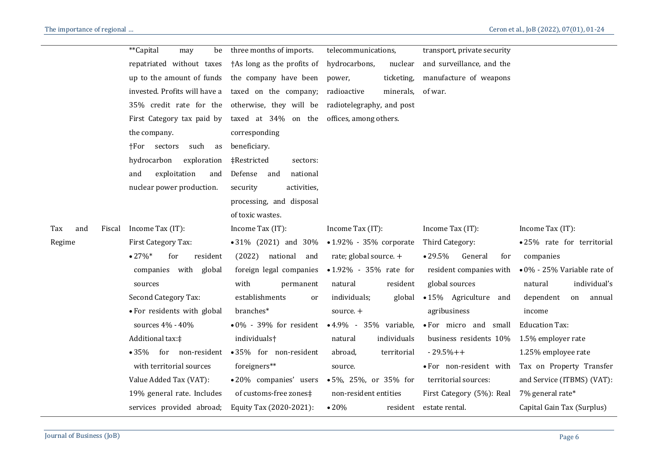|                      | **Capital<br>be<br>may        | three months of imports.                          | telecommunications,             | transport, private security       |                                     |
|----------------------|-------------------------------|---------------------------------------------------|---------------------------------|-----------------------------------|-------------------------------------|
|                      | repatriated without taxes     | †As long as the profits of                        | hydrocarbons,<br>nuclear        | and surveillance, and the         |                                     |
|                      | up to the amount of funds     | the company have been                             | ticketing,<br>power,            | manufacture of weapons            |                                     |
|                      | invested. Profits will have a | taxed on the company;                             | radioactive<br>minerals,        | of war.                           |                                     |
|                      | 35% credit rate for the       | otherwise, they will be radiotelegraphy, and post |                                 |                                   |                                     |
|                      | First Category tax paid by    | taxed at 34% on the offices, among others.        |                                 |                                   |                                     |
|                      | the company.                  | corresponding                                     |                                 |                                   |                                     |
|                      | such<br>†For sectors<br>as    | beneficiary.                                      |                                 |                                   |                                     |
|                      | hydrocarbon<br>exploration    | ‡Restricted<br>sectors:                           |                                 |                                   |                                     |
|                      | exploitation<br>and<br>and    | Defense<br>national<br>and                        |                                 |                                   |                                     |
|                      | nuclear power production.     | security<br>activities,                           |                                 |                                   |                                     |
|                      |                               | processing, and disposal                          |                                 |                                   |                                     |
|                      |                               | of toxic wastes.                                  |                                 |                                   |                                     |
| and<br>Fiscal<br>Tax | Income Tax (IT):              | Income Tax (IT):                                  | Income Tax (IT):                | Income Tax (IT):                  | Income Tax (IT):                    |
| Regime               | First Category Tax:           | • 31% (2021) and 30%                              | $\bullet$ 1.92% - 35% corporate | Third Category:                   | · 25% rate for territorial          |
|                      | $•27\%*$<br>resident<br>for   | (2022)<br>national<br>and                         | rate; global source. +          | $\bullet$ 29.5%<br>General<br>for | companies                           |
|                      | companies with global         | foreign legal companies                           | • 1.92% - 35% rate for          | resident companies with           | $\bullet$ 0% - 25% Variable rate of |
|                      | sources                       | with<br>permanent                                 | resident<br>natural             | global sources                    | individual's<br>natural             |
|                      | Second Category Tax:          | establishments<br>or                              | individuals;<br>global          | • 15% Agriculture and             | dependent<br>annual<br>on           |
|                      | • For residents with global   | branches*                                         | source. +                       | agribusiness                      | income                              |
|                      | sources 4% - 40%              | $\bullet$ 0% - 39% for resident                   | • 4.9% - 35% variable,          | • For micro and small             | <b>Education Tax:</b>               |
|                      | Additional tax: ‡             | individuals <sup>+</sup>                          | natural<br>individuals          | business residents 10%            | 1.5% employer rate                  |
|                      | • 35% for non-resident        | • 35% for non-resident                            | territorial<br>abroad,          | $-29.5% + +$                      | 1.25% employee rate                 |
|                      | with territorial sources      | foreigners**                                      | source.                         | · For non-resident with           | Tax on Property Transfer            |
|                      | Value Added Tax (VAT):        | •20% companies' users                             | $\bullet$ 5%, 25%, or 35% for   | territorial sources:              | and Service (ITBMS) (VAT):          |
|                      | 19% general rate. Includes    | of customs-free zones‡                            | non-resident entities           | First Category (5%): Real         | 7% general rate*                    |
|                      | services provided abroad;     | Equity Tax (2020-2021):                           | $\bullet 20\%$<br>resident      | estate rental.                    | Capital Gain Tax (Surplus)          |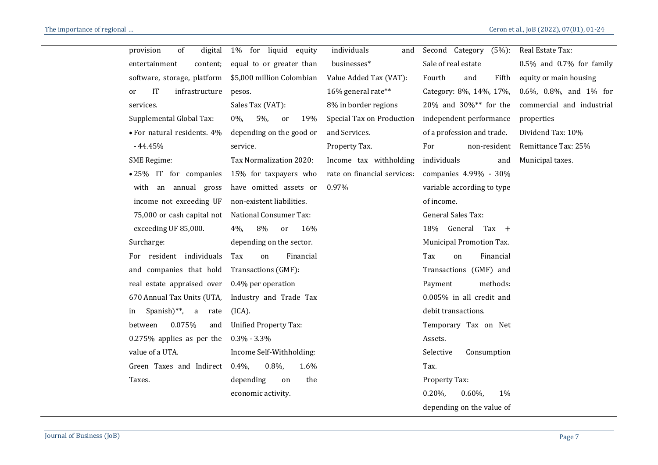| provision<br>of<br>digital                   | 1% for liquid equity          | individuals<br>and          | Second Category (5%):         | Real Estate Tax:                                |
|----------------------------------------------|-------------------------------|-----------------------------|-------------------------------|-------------------------------------------------|
| entertainment<br>content;                    | equal to or greater than      | businesses*                 | Sale of real estate           | $0.5\%$ and $0.7\%$ for family                  |
| software, storage, platform                  | \$5,000 million Colombian     | Value Added Tax (VAT):      | Fifth<br>Fourth<br>and        | equity or main housing                          |
| <b>IT</b><br>infrastructure<br><sub>or</sub> | pesos.                        | 16% general rate**          | Category: 8%, 14%, 17%,       | 0.6%, 0.8%, and $1\%$ for                       |
| services.                                    | Sales Tax (VAT):              | 8% in border regions        |                               | 20% and 30%** for the commercial and industrial |
| Supplemental Global Tax:                     | $5\%$ ,<br>$0\%$<br>or<br>19% | Special Tax on Production   | independent performance       | properties                                      |
| • For natural residents. 4%                  | depending on the good or      | and Services.               | of a profession and trade.    | Dividend Tax: 10%                               |
| $-44.45%$                                    | service.                      | Property Tax.               | non-resident<br>For           | Remittance Tax: 25%                             |
| <b>SME Regime:</b>                           | Tax Normalization 2020:       | Income tax withholding      | individuals<br>and            | Municipal taxes.                                |
| •25% IT for companies                        | 15% for taxpayers who         | rate on financial services: | companies 4.99% - 30%         |                                                 |
| with an annual gross                         | have omitted assets or        | 0.97%                       | variable according to type    |                                                 |
| income not exceeding UF                      | non-existent liabilities.     |                             | of income.                    |                                                 |
| 75,000 or cash capital not                   | <b>National Consumer Tax:</b> |                             | General Sales Tax:            |                                                 |
| exceeding UF 85,000.                         | 8%<br>$4\%$ ,<br>16%<br>or    |                             | 18% General Tax +             |                                                 |
| Surcharge:                                   | depending on the sector.      |                             | Municipal Promotion Tax.      |                                                 |
| For resident individuals                     | Tax<br>Financial<br>on        |                             | Tax<br>Financial<br>on        |                                                 |
| and companies that hold                      | Transactions (GMF):           |                             | Transactions (GMF) and        |                                                 |
| real estate appraised over                   | $0.4\%$ per operation         |                             | methods:<br>Payment           |                                                 |
| 670 Annual Tax Units (UTA,                   | Industry and Trade Tax        |                             | 0.005% in all credit and      |                                                 |
| Spanish $)$ <sup>**</sup> , a<br>in<br>rate  | (ICA).                        |                             | debit transactions.           |                                                 |
| 0.075%<br>between<br>and                     | <b>Unified Property Tax:</b>  |                             | Temporary Tax on Net          |                                                 |
| $0.275\%$ applies as per the                 | $0.3\% - 3.3\%$               |                             | Assets.                       |                                                 |
| value of a UTA.                              | Income Self-Withholding:      |                             | Consumption<br>Selective      |                                                 |
| Green Taxes and Indirect                     | $0.4\%$<br>$0.8\%$<br>1.6%    |                             | Tax.                          |                                                 |
| Taxes.                                       | depending<br>the<br>on        |                             | Property Tax:                 |                                                 |
|                                              | economic activity.            |                             | $0.20\%$<br>$0.60\%$<br>$1\%$ |                                                 |
|                                              |                               |                             | depending on the value of     |                                                 |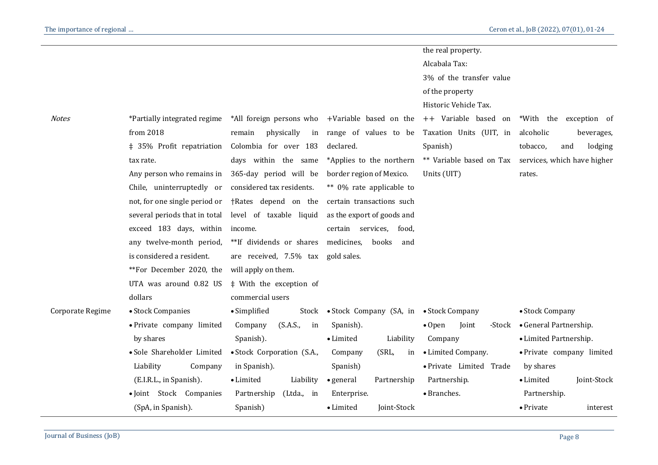| the real property.<br>Alcabala Tax:<br>3% of the transfer value<br>of the property<br>Historic Vehicle Tax.<br>*All foreign persons who +Variable based on the<br>++ Variable based on<br>*Partially integrated regime<br>from 2018<br>remain<br>physically<br>in range of values to be<br>Taxation Units (UIT, in<br>alcoholic<br>Colombia for over 183<br>‡ 35% Profit repatriation<br>declared.<br>Spanish)<br>tobacco,<br>and<br>** Variable based on Tax services, which have higher<br>days within the same<br>*Applies to the northern<br>tax rate.<br>Any person who remains in<br>365-day period will be<br>border region of Mexico.<br>Units (UIT)<br>rates.<br>** 0% rate applicable to<br>Chile, uninterruptedly or<br>considered tax residents.<br>not, for one single period or<br>†Rates depend on the<br>certain transactions such<br>several periods that in total<br>as the export of goods and<br>level of taxable liquid<br>exceed 183 days, within<br>certain services, food,<br>income.<br>**If dividends or shares<br>medicines,<br>any twelve-month period,<br>books<br>and<br>is considered a resident.<br>are received, 7.5% tax gold sales.<br>**For December 2020, the<br>will apply on them.<br>UTA was around 0.82 US<br># With the exception of<br>dollars<br>commercial users<br>• Stock Companies<br>• Simplified<br>• Stock Company (SA, in • Stock Company<br>• Stock Company<br>Stock<br>• General Partnership.<br>· Private company limited<br>(S.A.S.,<br>Company<br>in<br>Spanish).<br>$\bullet$ Open<br>Joint<br>-Stock<br>by shares<br>Spanish).<br>Company<br>• Limited Partnership.<br>• Limited<br>Liability<br>· Sole Shareholder Limited<br>• Stock Corporation (S.A.,<br>(SRL,<br>• Limited Company.<br>Company<br>in<br>Liability<br>· Private Limited Trade<br>Company<br>in Spanish).<br>Spanish)<br>by shares<br>Liability<br>(E.I.R.L., in Spanish).<br>• Limited<br>$\bullet$ general<br>Partnership<br>Partnership.<br>• Limited<br>• Branches.<br>· Joint Stock Companies<br>Partnership<br>Enterprise.<br>Partnership.<br>(Ltda., in<br>Joint-Stock<br>(SpA, in Spanish).<br>Spanish)<br>• Limited<br>• Private |                  |  |  |                           |
|-------------------------------------------------------------------------------------------------------------------------------------------------------------------------------------------------------------------------------------------------------------------------------------------------------------------------------------------------------------------------------------------------------------------------------------------------------------------------------------------------------------------------------------------------------------------------------------------------------------------------------------------------------------------------------------------------------------------------------------------------------------------------------------------------------------------------------------------------------------------------------------------------------------------------------------------------------------------------------------------------------------------------------------------------------------------------------------------------------------------------------------------------------------------------------------------------------------------------------------------------------------------------------------------------------------------------------------------------------------------------------------------------------------------------------------------------------------------------------------------------------------------------------------------------------------------------------------------------------------------------------------------------------------------------------------------------------------------------------------------------------------------------------------------------------------------------------------------------------------------------------------------------------------------------------------------------------------------------------------------------------------------------------------------------------------------------------------------------------------------------------------------------------------------------|------------------|--|--|---------------------------|
|                                                                                                                                                                                                                                                                                                                                                                                                                                                                                                                                                                                                                                                                                                                                                                                                                                                                                                                                                                                                                                                                                                                                                                                                                                                                                                                                                                                                                                                                                                                                                                                                                                                                                                                                                                                                                                                                                                                                                                                                                                                                                                                                                                         |                  |  |  |                           |
|                                                                                                                                                                                                                                                                                                                                                                                                                                                                                                                                                                                                                                                                                                                                                                                                                                                                                                                                                                                                                                                                                                                                                                                                                                                                                                                                                                                                                                                                                                                                                                                                                                                                                                                                                                                                                                                                                                                                                                                                                                                                                                                                                                         |                  |  |  |                           |
|                                                                                                                                                                                                                                                                                                                                                                                                                                                                                                                                                                                                                                                                                                                                                                                                                                                                                                                                                                                                                                                                                                                                                                                                                                                                                                                                                                                                                                                                                                                                                                                                                                                                                                                                                                                                                                                                                                                                                                                                                                                                                                                                                                         |                  |  |  |                           |
|                                                                                                                                                                                                                                                                                                                                                                                                                                                                                                                                                                                                                                                                                                                                                                                                                                                                                                                                                                                                                                                                                                                                                                                                                                                                                                                                                                                                                                                                                                                                                                                                                                                                                                                                                                                                                                                                                                                                                                                                                                                                                                                                                                         |                  |  |  |                           |
|                                                                                                                                                                                                                                                                                                                                                                                                                                                                                                                                                                                                                                                                                                                                                                                                                                                                                                                                                                                                                                                                                                                                                                                                                                                                                                                                                                                                                                                                                                                                                                                                                                                                                                                                                                                                                                                                                                                                                                                                                                                                                                                                                                         |                  |  |  |                           |
|                                                                                                                                                                                                                                                                                                                                                                                                                                                                                                                                                                                                                                                                                                                                                                                                                                                                                                                                                                                                                                                                                                                                                                                                                                                                                                                                                                                                                                                                                                                                                                                                                                                                                                                                                                                                                                                                                                                                                                                                                                                                                                                                                                         | <b>Notes</b>     |  |  | *With the exception of    |
|                                                                                                                                                                                                                                                                                                                                                                                                                                                                                                                                                                                                                                                                                                                                                                                                                                                                                                                                                                                                                                                                                                                                                                                                                                                                                                                                                                                                                                                                                                                                                                                                                                                                                                                                                                                                                                                                                                                                                                                                                                                                                                                                                                         |                  |  |  | beverages,                |
|                                                                                                                                                                                                                                                                                                                                                                                                                                                                                                                                                                                                                                                                                                                                                                                                                                                                                                                                                                                                                                                                                                                                                                                                                                                                                                                                                                                                                                                                                                                                                                                                                                                                                                                                                                                                                                                                                                                                                                                                                                                                                                                                                                         |                  |  |  | lodging                   |
|                                                                                                                                                                                                                                                                                                                                                                                                                                                                                                                                                                                                                                                                                                                                                                                                                                                                                                                                                                                                                                                                                                                                                                                                                                                                                                                                                                                                                                                                                                                                                                                                                                                                                                                                                                                                                                                                                                                                                                                                                                                                                                                                                                         |                  |  |  |                           |
|                                                                                                                                                                                                                                                                                                                                                                                                                                                                                                                                                                                                                                                                                                                                                                                                                                                                                                                                                                                                                                                                                                                                                                                                                                                                                                                                                                                                                                                                                                                                                                                                                                                                                                                                                                                                                                                                                                                                                                                                                                                                                                                                                                         |                  |  |  |                           |
|                                                                                                                                                                                                                                                                                                                                                                                                                                                                                                                                                                                                                                                                                                                                                                                                                                                                                                                                                                                                                                                                                                                                                                                                                                                                                                                                                                                                                                                                                                                                                                                                                                                                                                                                                                                                                                                                                                                                                                                                                                                                                                                                                                         |                  |  |  |                           |
|                                                                                                                                                                                                                                                                                                                                                                                                                                                                                                                                                                                                                                                                                                                                                                                                                                                                                                                                                                                                                                                                                                                                                                                                                                                                                                                                                                                                                                                                                                                                                                                                                                                                                                                                                                                                                                                                                                                                                                                                                                                                                                                                                                         |                  |  |  |                           |
|                                                                                                                                                                                                                                                                                                                                                                                                                                                                                                                                                                                                                                                                                                                                                                                                                                                                                                                                                                                                                                                                                                                                                                                                                                                                                                                                                                                                                                                                                                                                                                                                                                                                                                                                                                                                                                                                                                                                                                                                                                                                                                                                                                         |                  |  |  |                           |
|                                                                                                                                                                                                                                                                                                                                                                                                                                                                                                                                                                                                                                                                                                                                                                                                                                                                                                                                                                                                                                                                                                                                                                                                                                                                                                                                                                                                                                                                                                                                                                                                                                                                                                                                                                                                                                                                                                                                                                                                                                                                                                                                                                         |                  |  |  |                           |
|                                                                                                                                                                                                                                                                                                                                                                                                                                                                                                                                                                                                                                                                                                                                                                                                                                                                                                                                                                                                                                                                                                                                                                                                                                                                                                                                                                                                                                                                                                                                                                                                                                                                                                                                                                                                                                                                                                                                                                                                                                                                                                                                                                         |                  |  |  |                           |
|                                                                                                                                                                                                                                                                                                                                                                                                                                                                                                                                                                                                                                                                                                                                                                                                                                                                                                                                                                                                                                                                                                                                                                                                                                                                                                                                                                                                                                                                                                                                                                                                                                                                                                                                                                                                                                                                                                                                                                                                                                                                                                                                                                         |                  |  |  |                           |
|                                                                                                                                                                                                                                                                                                                                                                                                                                                                                                                                                                                                                                                                                                                                                                                                                                                                                                                                                                                                                                                                                                                                                                                                                                                                                                                                                                                                                                                                                                                                                                                                                                                                                                                                                                                                                                                                                                                                                                                                                                                                                                                                                                         |                  |  |  |                           |
|                                                                                                                                                                                                                                                                                                                                                                                                                                                                                                                                                                                                                                                                                                                                                                                                                                                                                                                                                                                                                                                                                                                                                                                                                                                                                                                                                                                                                                                                                                                                                                                                                                                                                                                                                                                                                                                                                                                                                                                                                                                                                                                                                                         |                  |  |  |                           |
|                                                                                                                                                                                                                                                                                                                                                                                                                                                                                                                                                                                                                                                                                                                                                                                                                                                                                                                                                                                                                                                                                                                                                                                                                                                                                                                                                                                                                                                                                                                                                                                                                                                                                                                                                                                                                                                                                                                                                                                                                                                                                                                                                                         |                  |  |  |                           |
|                                                                                                                                                                                                                                                                                                                                                                                                                                                                                                                                                                                                                                                                                                                                                                                                                                                                                                                                                                                                                                                                                                                                                                                                                                                                                                                                                                                                                                                                                                                                                                                                                                                                                                                                                                                                                                                                                                                                                                                                                                                                                                                                                                         | Corporate Regime |  |  |                           |
|                                                                                                                                                                                                                                                                                                                                                                                                                                                                                                                                                                                                                                                                                                                                                                                                                                                                                                                                                                                                                                                                                                                                                                                                                                                                                                                                                                                                                                                                                                                                                                                                                                                                                                                                                                                                                                                                                                                                                                                                                                                                                                                                                                         |                  |  |  |                           |
|                                                                                                                                                                                                                                                                                                                                                                                                                                                                                                                                                                                                                                                                                                                                                                                                                                                                                                                                                                                                                                                                                                                                                                                                                                                                                                                                                                                                                                                                                                                                                                                                                                                                                                                                                                                                                                                                                                                                                                                                                                                                                                                                                                         |                  |  |  |                           |
|                                                                                                                                                                                                                                                                                                                                                                                                                                                                                                                                                                                                                                                                                                                                                                                                                                                                                                                                                                                                                                                                                                                                                                                                                                                                                                                                                                                                                                                                                                                                                                                                                                                                                                                                                                                                                                                                                                                                                                                                                                                                                                                                                                         |                  |  |  | • Private company limited |
|                                                                                                                                                                                                                                                                                                                                                                                                                                                                                                                                                                                                                                                                                                                                                                                                                                                                                                                                                                                                                                                                                                                                                                                                                                                                                                                                                                                                                                                                                                                                                                                                                                                                                                                                                                                                                                                                                                                                                                                                                                                                                                                                                                         |                  |  |  |                           |
|                                                                                                                                                                                                                                                                                                                                                                                                                                                                                                                                                                                                                                                                                                                                                                                                                                                                                                                                                                                                                                                                                                                                                                                                                                                                                                                                                                                                                                                                                                                                                                                                                                                                                                                                                                                                                                                                                                                                                                                                                                                                                                                                                                         |                  |  |  | Joint-Stock               |
|                                                                                                                                                                                                                                                                                                                                                                                                                                                                                                                                                                                                                                                                                                                                                                                                                                                                                                                                                                                                                                                                                                                                                                                                                                                                                                                                                                                                                                                                                                                                                                                                                                                                                                                                                                                                                                                                                                                                                                                                                                                                                                                                                                         |                  |  |  |                           |
|                                                                                                                                                                                                                                                                                                                                                                                                                                                                                                                                                                                                                                                                                                                                                                                                                                                                                                                                                                                                                                                                                                                                                                                                                                                                                                                                                                                                                                                                                                                                                                                                                                                                                                                                                                                                                                                                                                                                                                                                                                                                                                                                                                         |                  |  |  | interest                  |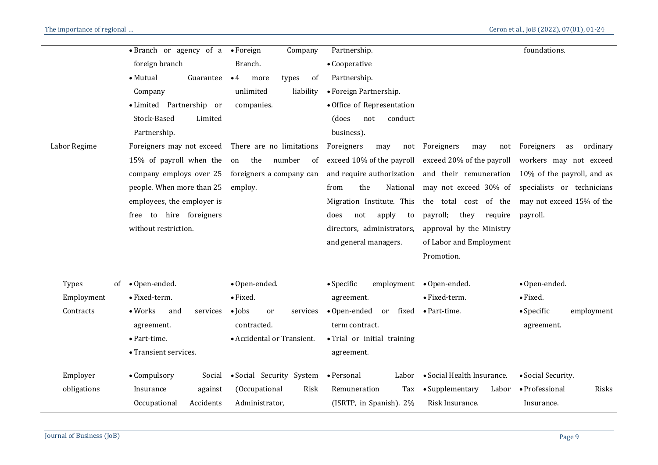|              | • Branch or agency of a            | $\bullet$ Foreign<br>Company         | Partnership.                        |                                  | foundations.                                      |
|--------------|------------------------------------|--------------------------------------|-------------------------------------|----------------------------------|---------------------------------------------------|
|              | foreign branch                     | Branch.                              | • Cooperative                       |                                  |                                                   |
|              | • Mutual<br>Guarantee              | $\bullet$ 4<br>of<br>more<br>types   | Partnership.                        |                                  |                                                   |
|              | Company                            | liability<br>unlimited               | • Foreign Partnership.              |                                  |                                                   |
|              | • Limited Partnership or           | companies.                           | • Office of Representation          |                                  |                                                   |
|              | Stock-Based<br>Limited             |                                      | conduct<br>(does<br>not             |                                  |                                                   |
|              | Partnership.                       |                                      | business).                          |                                  |                                                   |
| Labor Regime | Foreigners may not exceed          | There are no limitations             | Foreigners<br>may<br>not            | Foreigners<br>may<br>not         | Foreigners<br>ordinary<br>as                      |
|              | 15% of payroll when the            | number<br>the<br>on<br><sub>of</sub> | exceed 10% of the payroll           | exceed 20% of the payroll        | workers may not exceed                            |
|              | company employs over 25            | foreigners a company can             | and require authorization           |                                  | and their remuneration 10% of the payroll, and as |
|              | people. When more than 25          | employ.                              | the<br>National<br>from             |                                  | may not exceed 30% of specialists or technicians  |
|              | employees, the employer is         |                                      | Migration Institute. This           | the total cost of the            | may not exceed 15% of the                         |
|              | free to hire foreigners            |                                      | apply<br>does<br>not<br>to          | payroll;<br>they<br>require      | payroll.                                          |
|              | without restriction.               |                                      | directors, administrators,          | approval by the Ministry         |                                                   |
|              |                                    |                                      | and general managers.               | of Labor and Employment          |                                                   |
|              |                                    |                                      |                                     | Promotion.                       |                                                   |
|              |                                    |                                      |                                     |                                  |                                                   |
| <b>Types</b> | of • Open-ended.                   | · Open-ended.                        | $\bullet$ Specific<br>employment    | • Open-ended.                    | · Open-ended.                                     |
| Employment   | • Fixed-term.                      | • Fixed.                             | agreement.                          | · Fixed-term.                    | • Fixed.                                          |
| Contracts    | $\bullet$ Works<br>and<br>services | $\bullet$ Jobs<br>or<br>services     | $\bullet$ Open-ended<br>fixed<br>or | • Part-time.                     | $\bullet$ Specific<br>employment                  |
|              | agreement.                         | contracted.                          | term contract.                      |                                  | agreement.                                        |
|              | · Part-time.                       | • Accidental or Transient.           | • Trial or initial training         |                                  |                                                   |
|              | • Transient services.              |                                      | agreement.                          |                                  |                                                   |
| Employer     | • Compulsory<br>Social             | • Social Security System             | • Personal                          | Labor • Social Health Insurance. | • Social Security.                                |
| obligations  | Insurance<br>against               | (Occupational<br>Risk                | Remuneration<br>Tax                 | • Supplementary<br>Labor         | · Professional<br>Risks                           |
|              | Accidents<br>Occupational          | Administrator,                       | (ISRTP, in Spanish). 2%             | Risk Insurance.                  | Insurance.                                        |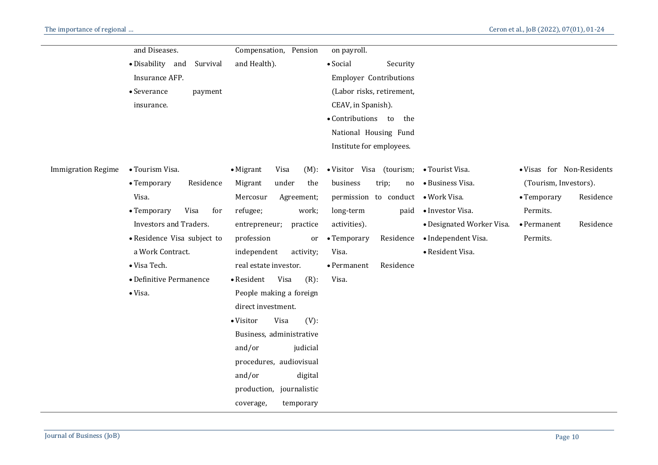|                           | and Diseases.                 | Compensation, Pension             | on payroll.                      |                           |                                  |
|---------------------------|-------------------------------|-----------------------------------|----------------------------------|---------------------------|----------------------------------|
|                           | · Disability and<br>Survival  | and Health).                      | • Social<br>Security             |                           |                                  |
|                           | Insurance AFP.                |                                   | <b>Employer Contributions</b>    |                           |                                  |
|                           | • Severance<br>payment        |                                   | (Labor risks, retirement,        |                           |                                  |
|                           | insurance.                    |                                   | CEAV, in Spanish).               |                           |                                  |
|                           |                               |                                   | • Contributions to<br>the        |                           |                                  |
|                           |                               |                                   | National Housing Fund            |                           |                                  |
|                           |                               |                                   | Institute for employees.         |                           |                                  |
| <b>Immigration Regime</b> | • Tourism Visa.               | $\bullet$ Migrant<br>Visa<br>(M): | · Visitor Visa (tourism;         | • Tourist Visa.           | · Visas for Non-Residents        |
|                           | • Temporary<br>Residence      | under<br>Migrant<br>the           | business<br>trip;<br>no          | • Business Visa.          | (Tourism, Investors).            |
|                           | Visa.                         | Mercosur<br>Agreement;            | permission to conduct            | · Work Visa.              | Residence<br>• Temporary         |
|                           | • Temporary<br>Visa<br>for    | refugee;<br>work;                 | long-term<br>paid                | • Investor Visa.          | Permits.                         |
|                           | <b>Investors and Traders.</b> | entrepreneur;<br>practice         | activities).                     | • Designated Worker Visa. | Residence<br>$\bullet$ Permanent |
|                           | • Residence Visa subject to   | profession<br>or                  | Residence<br>• Temporary         | · Independent Visa.       | Permits.                         |
|                           | a Work Contract.              | independent<br>activity;          | Visa.                            | · Resident Visa.          |                                  |
|                           | · Visa Tech.                  | real estate investor.             | Residence<br>$\bullet$ Permanent |                           |                                  |
|                           | • Definitive Permanence       | Visa<br>$(R)$ :<br>• Resident     | Visa.                            |                           |                                  |
|                           | • Visa.                       | People making a foreign           |                                  |                           |                                  |
|                           |                               | direct investment.                |                                  |                           |                                  |
|                           |                               | $(V)$ :<br>• Visitor<br>Visa      |                                  |                           |                                  |
|                           |                               | Business, administrative          |                                  |                           |                                  |
|                           |                               | and/or<br>judicial                |                                  |                           |                                  |
|                           |                               | procedures, audiovisual           |                                  |                           |                                  |
|                           |                               | and/or<br>digital                 |                                  |                           |                                  |
|                           |                               | production, journalistic          |                                  |                           |                                  |
|                           |                               | coverage,<br>temporary            |                                  |                           |                                  |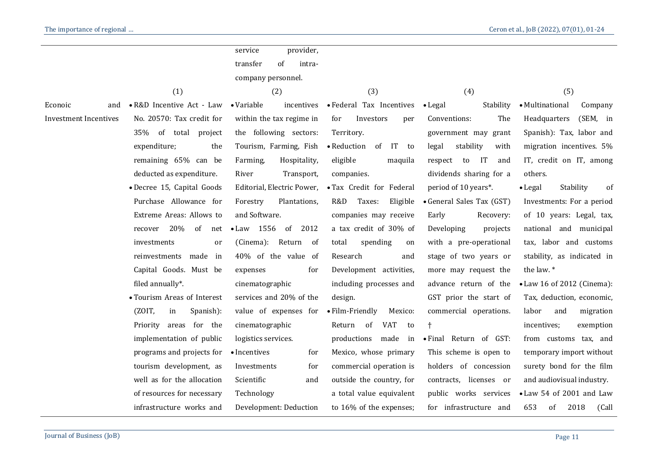|                              |                             | provider,<br>service             |                            |                              |                            |
|------------------------------|-----------------------------|----------------------------------|----------------------------|------------------------------|----------------------------|
|                              |                             | transfer<br>of<br>intra-         |                            |                              |                            |
|                              |                             | company personnel.               |                            |                              |                            |
|                              | (1)                         | (2)                              | (3)                        | (4)                          | (5)                        |
| Econoic<br>and               | • R&D Incentive Act - Law   | $\bullet$ Variable<br>incentives | • Federal Tax Incentives   | Stability<br>$\bullet$ Legal | • Multinational<br>Company |
| <b>Investment Incentives</b> | No. 20570: Tax credit for   | within the tax regime in         | for<br>Investors<br>per    | Conventions:<br>The          | (SEM, in<br>Headquarters   |
|                              | 35% of total project        | the following sectors:           | Territory.                 | government may grant         | Spanish): Tax, labor and   |
|                              | expenditure;<br>the         | Tourism, Farming, Fish           | • Reduction<br>of IT to    | stability<br>legal<br>with   | migration incentives. 5%   |
|                              | remaining 65% can be        | Hospitality,<br>Farming,         | eligible<br>maquila        | respect to IT<br>and         | IT, credit on IT, among    |
|                              | deducted as expenditure.    | Transport,<br>River              | companies.                 | dividends sharing for a      | others.                    |
|                              | · Decree 15, Capital Goods  | Editorial, Electric Power,       | · Tax Credit for Federal   | period of 10 years*.         | Stability<br>• Legal<br>of |
|                              | Purchase Allowance for      | Forestry<br>Plantations,         | R&D<br>Taxes:<br>Eligible  | • General Sales Tax (GST)    | Investments: For a period  |
|                              | Extreme Areas: Allows to    | and Software.                    | companies may receive      | Early<br>Recovery:           | of 10 years: Legal, tax,   |
|                              | 20%<br>of<br>recover<br>net | $\bullet$ Law 1556<br>2012<br>of | a tax credit of 30% of     | Developing<br>projects       | national and municipal     |
|                              | investments<br>or           | (Cinema):<br>Return of           | total<br>spending<br>on    | with a pre-operational       | tax, labor and customs     |
|                              | made<br>in<br>reinvestments | 40% of the value of              | Research<br>and            | stage of two years or        | stability, as indicated in |
|                              | Capital Goods. Must be      | expenses<br>for                  | Development activities,    | more may request the         | the law.*                  |
|                              | filed annually*.            | cinematographic                  | including processes and    | advance return of the        | • Law 16 of 2012 (Cinema): |
|                              | • Tourism Areas of Interest | services and 20% of the          | design.                    | GST prior the start of       | Tax, deduction, economic,  |
|                              | (ZOIT,<br>in<br>Spanish):   | value of expenses for            | • Film-Friendly<br>Mexico: | commercial operations.       | labor<br>and<br>migration  |
|                              | Priority areas for the      | cinematographic                  | Return<br>of<br>VAT<br>to  |                              | incentives;<br>exemption   |
|                              | implementation of public    | logistics services.              | productions<br>made in     | · Final Return of GST:       | from customs tax, and      |
|                              | programs and projects for   | • Incentives<br>for              | Mexico, whose primary      | This scheme is open to       | temporary import without   |
|                              | tourism development, as     | Investments<br>for               | commercial operation is    | holders of concession        | surety bond for the film   |
|                              | well as for the allocation  | Scientific<br>and                | outside the country, for   | licenses or<br>contracts,    | and audiovisual industry.  |
|                              | of resources for necessary  | Technology                       | a total value equivalent   | public works services        | • Law 54 of 2001 and Law   |
|                              | infrastructure works and    | Development: Deduction           | to 16% of the expenses;    | for infrastructure and       | 653<br>of<br>2018<br>(Call |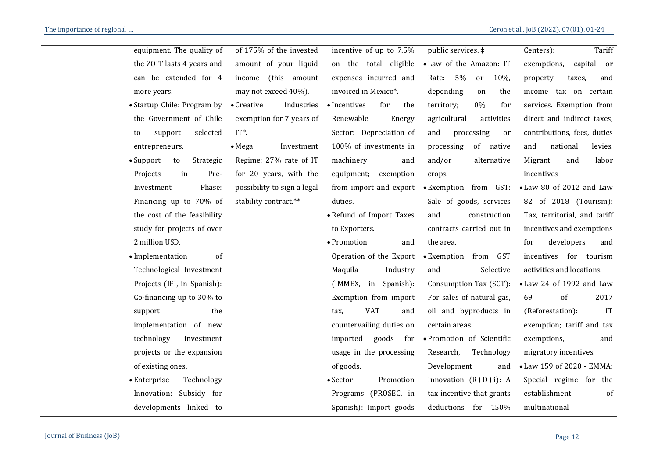| Tariff<br>Centers):          | public services. ‡         | incentive of up to 7.5%       | of 175% of the invested          | equipment. The quality of            |
|------------------------------|----------------------------|-------------------------------|----------------------------------|--------------------------------------|
| exemptions, capital or       | • Law of the Amazon: IT    | on the total eligible         | amount of your liquid            | the ZOIT lasts 4 years and           |
| and<br>property<br>taxes.    | 5%<br>10%,<br>Rate:<br>or  | expenses incurred and         | income (this amount              | can be extended for 4                |
| income tax on certain        | depending<br>the<br>on     | invoiced in Mexico*.          | may not exceed 40%).             | more years.                          |
| services. Exemption from     | 0%<br>territory;<br>for    | • Incentives<br>for<br>the    | $\bullet$ Creative<br>Industries | • Startup Chile: Program by          |
| direct and indirect taxes,   | agricultural<br>activities | Renewable<br>Energy           | exemption for 7 years of         | the Government of Chile              |
| contributions, fees, duties  | and<br>processing<br>or    | Sector: Depreciation of       | $IT^*$ .                         | selected<br>support<br>to            |
| national<br>levies.          | processing<br>of native    | 100% of investments in        | Investment<br>$\bullet$ Mega     | entrepreneurs.                       |
| Migrant<br>labor<br>and      | and/or<br>alternative      | machinery<br>and              | Regime: 27% rate of IT           | $\bullet$ Support<br>Strategic<br>to |
| incentives                   | crops.                     | equipment;<br>exemption       | for 20 years, with the           | Pre-<br>Projects<br>in               |
| • Law 80 of 2012 and Law     | • Exemption from GST:      | from import and export        | possibility to sign a legal      | Phase:<br>Investment                 |
| 82 of 2018 (Tourism):        | Sale of goods, services    | duties.                       | stability contract.**            | Financing up to 70% of               |
| Tax, territorial, and tariff | and<br>construction        | • Refund of Import Taxes      |                                  | the cost of the feasibility          |
| incentives and exemptions    | contracts carried out in   | to Exporters.                 |                                  | study for projects of over           |
| developers<br>and            | the area.                  | • Promotion<br>and            |                                  | 2 million USD.                       |
| incentives for tourism       | • Exemption from GST       | Operation of the Export       |                                  | • Implementation<br>of               |
| activities and locations.    | and<br>Selective           | Industry<br>Maquila           |                                  | Technological Investment             |
| • Law 24 of 1992 and Law     | Consumption Tax (SCT):     | (IMMEX, in Spanish):          |                                  | Projects (IFI, in Spanish):          |
| of<br>2017                   | For sales of natural gas,  | Exemption from import         |                                  | Co-financing up to 30% to            |
| IT<br>(Reforestation):       | oil and byproducts in      | <b>VAT</b><br>and<br>tax,     |                                  | support<br>the                       |
| exemption; tariff and tax    | certain areas.             | countervailing duties on      |                                  | implementation of new                |
| exemptions,<br>and           | · Promotion of Scientific  | imported<br>goods<br>for      |                                  | technology<br>investment             |
| migratory incentives.        | Research,<br>Technology    | usage in the processing       |                                  | projects or the expansion            |
| • Law 159 of 2020 - EMMA:    | Development<br>and         | of goods.                     |                                  | of existing ones.                    |
| Special regime for the       | Innovation $(R+D+i)$ : A   | $\bullet$ Sector<br>Promotion |                                  | $\bullet$ Enterprise<br>Technology   |
| establishment<br>of          | tax incentive that grants  | Programs (PROSEC, in          |                                  | Innovation: Subsidy for              |
| multinational                | deductions for 150%        | Spanish): Import goods        |                                  | developments linked to               |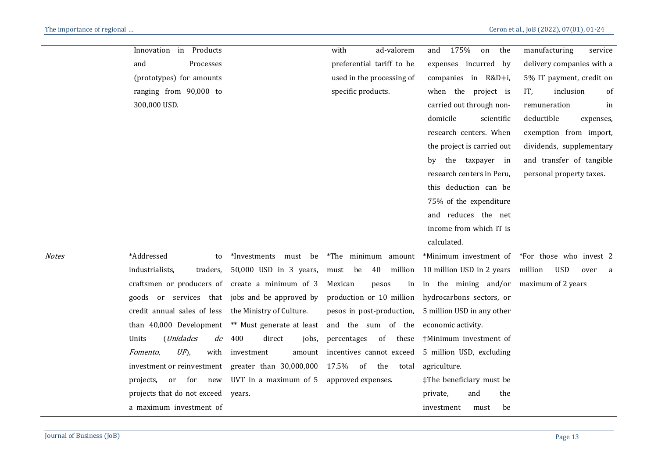|       | Innovation in Products                                                                           |                                  | with<br>ad-valorem        | 175%<br>the<br>and<br>on                   | manufacturing<br>service                       |
|-------|--------------------------------------------------------------------------------------------------|----------------------------------|---------------------------|--------------------------------------------|------------------------------------------------|
|       | and<br>Processes                                                                                 |                                  | preferential tariff to be | expenses incurred by                       | delivery companies with a                      |
|       | (prototypes) for amounts                                                                         |                                  | used in the processing of | companies in R&D+i,                        | 5% IT payment, credit on                       |
|       | ranging from 90,000 to                                                                           |                                  | specific products.        | when the project is                        | IT,<br>inclusion<br>of                         |
|       | 300,000 USD.                                                                                     |                                  |                           | carried out through non-                   | remuneration<br>in                             |
|       |                                                                                                  |                                  |                           | domicile<br>scientific                     | deductible<br>expenses,                        |
|       |                                                                                                  |                                  |                           | research centers. When                     | exemption from import,                         |
|       |                                                                                                  |                                  |                           | the project is carried out                 | dividends, supplementary                       |
|       |                                                                                                  |                                  |                           | the taxpayer in<br>by                      | and transfer of tangible                       |
|       |                                                                                                  |                                  |                           | research centers in Peru,                  | personal property taxes.                       |
|       |                                                                                                  |                                  |                           | this deduction can be                      |                                                |
|       |                                                                                                  |                                  |                           | 75% of the expenditure                     |                                                |
|       |                                                                                                  |                                  |                           | and reduces the net                        |                                                |
|       |                                                                                                  |                                  |                           | income from which IT is                    |                                                |
|       |                                                                                                  |                                  |                           | calculated.                                |                                                |
| Notes | *Addressed<br>to                                                                                 | *Investments<br>must be          | *The minimum amount       |                                            | *Minimum investment of *For those who invest 2 |
|       | industrialists,<br>traders,                                                                      | 50,000 USD in 3 years,           | 40<br>must be             | million 10 million USD in 2 years          | <b>USD</b><br>million<br>over<br>a             |
|       | craftsmen or producers of create a minimum of 3                                                  |                                  | Mexican<br>pesos          | in in the mining and/or maximum of 2 years |                                                |
|       | goods or services that jobs and be approved by production or 10 million hydrocarbons sectors, or |                                  |                           |                                            |                                                |
|       | credit annual sales of less the Ministry of Culture.                                             |                                  | pesos in post-production, | 5 million USD in any other                 |                                                |
|       | than 40,000 Development                                                                          | ** Must generate at least        | and the sum of the        | economic activity.                         |                                                |
|       | Units<br>( <i>Unidades</i><br>de                                                                 | direct<br>400<br>jobs,           | of these<br>percentages   | †Minimum investment of                     |                                                |
|       | $U\!F$ ),<br>Fomento,                                                                            | with investment<br>amount        | incentives cannot exceed  | 5 million USD, excluding                   |                                                |
|       | investment or reinvestment greater than 30,000,000                                               |                                  | 17.5% of the<br>total     | agriculture.                               |                                                |
|       | projects,                                                                                        | or for new UVT in a maximum of 5 | approved expenses.        | ‡The beneficiary must be                   |                                                |
|       | projects that do not exceed years.                                                               |                                  |                           | and<br>the<br>private,                     |                                                |
|       | a maximum investment of                                                                          |                                  |                           | be<br>investment<br>must                   |                                                |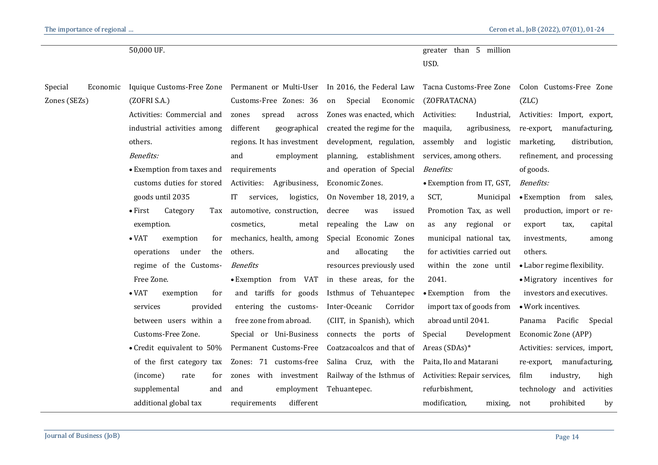|                     | 50,000 UF.                                                                 |                               |                                                        | greater than 5 million<br>USD. |                               |
|---------------------|----------------------------------------------------------------------------|-------------------------------|--------------------------------------------------------|--------------------------------|-------------------------------|
| Special<br>Economic | Iquique Customs-Free Zone Permanent or Multi-User In 2016, the Federal Law |                               |                                                        | Tacna Customs-Free Zone        | Colon Customs-Free Zone       |
| Zones (SEZs)        | (ZOFRI S.A.)                                                               | Customs-Free Zones: 36        | Special<br>Economic<br>on                              | (ZOFRATACNA)                   | (ZLC)                         |
|                     | Activities: Commercial and                                                 | spread<br>zones<br>across     | Zones was enacted, which                               | Activities:<br>Industrial,     | Activities: Import, export,   |
|                     | industrial activities among                                                | different<br>geographical     | created the regime for the                             | maquila,<br>agribusiness,      | re-export,<br>manufacturing,  |
|                     | others.                                                                    |                               | regions. It has investment development, regulation,    | assembly<br>and logistic       | distribution,<br>marketing,   |
|                     | <b>Benefits:</b>                                                           | and<br>employment             | planning, establishment                                | services, among others.        | refinement, and processing    |
|                     | • Exemption from taxes and                                                 | requirements                  | and operation of Special                               | <b>Benefits:</b>               | of goods.                     |
|                     | customs duties for stored                                                  | Activities: Agribusiness,     | Economic Zones.                                        | • Exemption from IT, GST,      | Benefits:                     |
|                     | goods until 2035                                                           | IT<br>services,<br>logistics, | On November 18, 2019, a                                | SCT,<br>Municipal              | • Exemption<br>from sales,    |
|                     | $\bullet$ First<br>Category<br>Tax                                         | automotive, construction,     | decree<br>was<br>issued                                | Promotion Tax, as well         | production, import or re-     |
|                     | exemption.                                                                 | cosmetics,<br>metal           | repealing the Law on                                   | as any regional or             | export<br>capital<br>tax,     |
|                     | $\bullet$ VAT<br>exemption<br>for                                          | mechanics, health, among      | Special Economic Zones                                 | municipal national tax,        | investments,<br>among         |
|                     | under<br>operations<br>the                                                 | others.                       | allocating<br>the<br>and                               | for activities carried out     | others.                       |
|                     | regime of the Customs-                                                     | <b>Benefits</b>               | resources previously used                              | within the zone until          | • Labor regime flexibility.   |
|                     | Free Zone.                                                                 |                               | • Exemption from VAT in these areas, for the           | 2041.                          | • Migratory incentives for    |
|                     | $\bullet$ VAT<br>for<br>exemption                                          | and tariffs for goods         | Isthmus of Tehuantepec                                 | • Exemption from the           | investors and executives.     |
|                     | services<br>provided                                                       | entering the customs-         | Inter-Oceanic<br>Corridor                              | import tax of goods from       | • Work incentives.            |
|                     | between users within a                                                     | free zone from abroad.        | (CIIT, in Spanish), which                              | abroad until 2041.             | Pacific<br>Panama<br>Special  |
|                     | Customs-Free Zone.                                                         | Special or Uni-Business       | connects the ports of                                  | Special<br>Development         | Economic Zone (APP)           |
|                     | • Credit equivalent to $50\%$                                              | Permanent Customs-Free        | Coatzacoalcos and that of                              | Areas (SDAs)*                  | Activities: services, import, |
|                     | of the first category tax                                                  | Zones: 71 customs-free        | Salina Cruz, with the                                  | Paita, Ilo and Matarani        | re-export,<br>manufacturing,  |
|                     | (income)<br>rate<br>for                                                    | with investment<br>zones      | Railway of the Isthmus of Activities: Repair services, |                                | film<br>industry,<br>high     |
|                     | supplemental<br>and                                                        | and                           | employment Tehuantepec.                                | refurbishment,                 | technology and activities     |
|                     | additional global tax                                                      | different<br>requirements     |                                                        | modification,<br>mixing,       | prohibited<br>by<br>not       |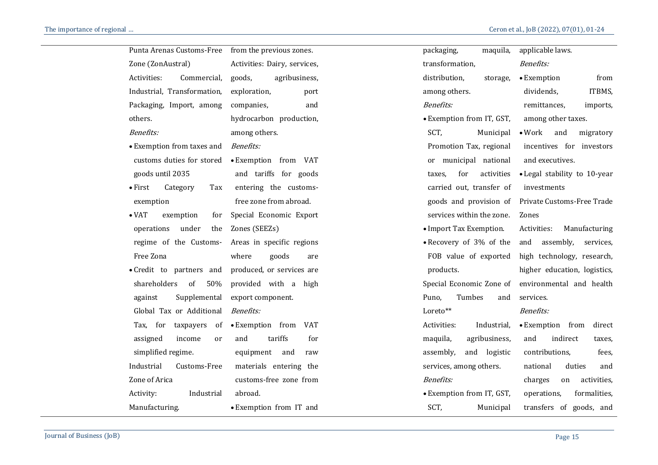| Punta Arenas Customs-Free          | from the previous zones.     | packaging,<br>maquila,      | applicable laws.                   |
|------------------------------------|------------------------------|-----------------------------|------------------------------------|
| Zone (ZonAustral)                  | Activities: Dairy, services, | transformation,             | <b>Benefits:</b>                   |
| Activities:<br>Commercial,         | goods,<br>agribusiness,      | distribution,<br>storage,   | • Exemption<br>from                |
| Industrial, Transformation,        | exploration,<br>port         | among others.               | ITBMS,<br>dividends,               |
| Packaging, Import, among           | companies,<br>and            | <b>Benefits:</b>            | remittances,<br>imports,           |
| others.                            | hydrocarbon production,      | • Exemption from IT, GST,   | among other taxes.                 |
| <b>Benefits:</b>                   | among others.                | SCT,<br>Municipal           | $\bullet$ Work<br>and<br>migratory |
| • Exemption from taxes and         | <b>Benefits:</b>             | Promotion Tax, regional     | incentives for investors           |
| customs duties for stored          | • Exemption from VAT         | or municipal national       | and executives.                    |
| goods until 2035                   | and tariffs for goods        | for<br>activities<br>taxes, | • Legal stability to 10-year       |
| $\bullet$ First<br>Category<br>Tax | entering the customs-        | carried out, transfer of    | investments                        |
| exemption                          | free zone from abroad.       | goods and provision of      | Private Customs-Free Trade         |
| $\bullet$ VAT<br>exemption<br>for  | Special Economic Export      | services within the zone.   | Zones                              |
| under<br>operations<br>the         | Zones (SEEZs)                | • Import Tax Exemption.     | Activities:<br>Manufacturing       |
| regime of the Customs-             | Areas in specific regions    | • Recovery of 3% of the     | and<br>assembly,<br>services,      |
| Free Zona                          | where<br>goods<br>are        | FOB value of exported       | high technology, research,         |
| • Credit to partners and           | produced, or services are    | products.                   | higher education, logistics,       |
| shareholders<br>50%<br>of          | provided with a high         | Special Economic Zone of    | environmental and health           |
| Supplemental<br>against            | export component.            | Tumbes<br>Puno,<br>and      | services.                          |
| Global Tax or Additional           | <b>Benefits:</b>             | Loreto**                    | <b>Benefits:</b>                   |
| Tax, for taxpayers of              | • Exemption from VAT         | Activities:<br>Industrial,  | • Exemption from<br>direct         |
| assigned<br>income<br>or           | and<br>tariffs<br>for        | maquila,<br>agribusiness,   | and<br>indirect<br>taxes,          |
| simplified regime.                 | equipment<br>and<br>raw      | assembly,<br>and logistic   | contributions,<br>fees,            |
| Industrial<br>Customs-Free         | materials entering the       | services, among others.     | national<br>duties<br>and          |
| Zone of Arica                      | customs-free zone from       | <b>Benefits:</b>            | activities,<br>charges<br>on       |
| Activity:<br>Industrial            | abroad.                      | • Exemption from IT, GST,   | formalities,<br>operations,        |
| Manufacturing.                     | • Exemption from IT and      | SCT,<br>Municipal           | transfers of goods, and            |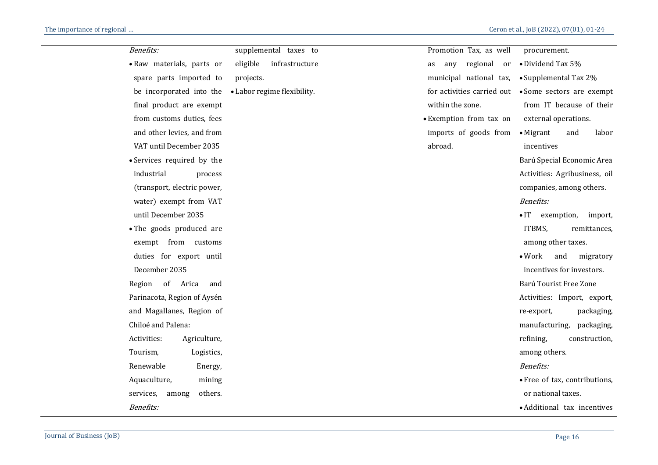| Benefits:                     | supplemental taxes to       | Promotion Tax, as well      | procurement.                          |
|-------------------------------|-----------------------------|-----------------------------|---------------------------------------|
| · Raw materials, parts or     | eligible<br>infrastructure  | regional<br>as<br>any<br>or | • Dividend Tax 5%                     |
| spare parts imported to       | projects.                   | municipal national tax,     | • Supplemental Tax 2%                 |
| be incorporated into the      | • Labor regime flexibility. | for activities carried out  | • Some sectors are exempt             |
| final product are exempt      |                             | within the zone.            | from IT because of their              |
| from customs duties, fees     |                             | • Exemption from tax on     | external operations.                  |
| and other levies, and from    |                             | imports of goods from       | $\bullet$ Migrant<br>and<br>labor     |
| VAT until December 2035       |                             | abroad.                     | incentives                            |
| • Services required by the    |                             |                             | Barú Special Economic Area            |
| industrial<br>process         |                             |                             | Activities: Agribusiness, oil         |
| (transport, electric power,   |                             |                             | companies, among others.              |
| water) exempt from VAT        |                             |                             | <b>Benefits:</b>                      |
| until December 2035           |                             |                             | $\bullet$ IT<br>exemption,<br>import, |
| • The goods produced are      |                             |                             | ITBMS,<br>remittances,                |
| exempt from customs           |                             |                             | among other taxes.                    |
| duties for export until       |                             |                             | $\bullet$ Work<br>and<br>migratory    |
| December 2035                 |                             |                             | incentives for investors.             |
| Region of Arica<br>and        |                             |                             | Barú Tourist Free Zone                |
| Parinacota, Region of Aysén   |                             |                             | Activities: Import, export,           |
| and Magallanes, Region of     |                             |                             | packaging,<br>re-export,              |
| Chiloé and Palena:            |                             |                             | manufacturing,<br>packaging,          |
| Activities:<br>Agriculture,   |                             |                             | refining,<br>construction,            |
| Tourism,<br>Logistics,        |                             |                             | among others.                         |
| Renewable<br>Energy,          |                             |                             | <b>Benefits:</b>                      |
| Aquaculture,<br>mining        |                             |                             | • Free of tax, contributions,         |
| services,<br>others.<br>among |                             |                             | or national taxes.                    |
| <b>Benefits:</b>              |                             |                             | • Additional tax incentives           |
|                               |                             |                             |                                       |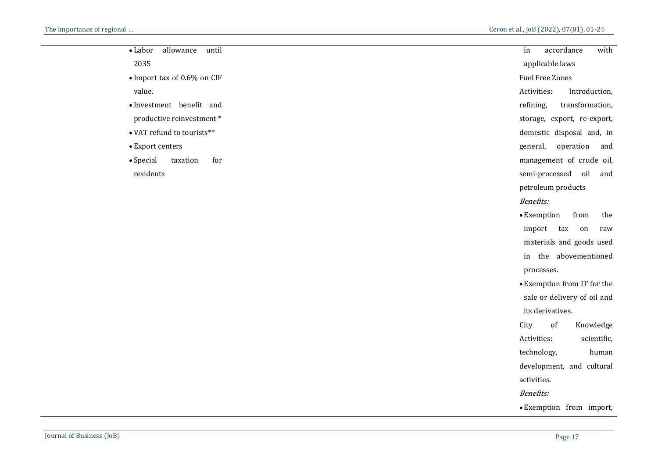| allowance<br>until<br>$\bullet$ Labor | in                     | accordance         |                             | with |  |
|---------------------------------------|------------------------|--------------------|-----------------------------|------|--|
| 2035                                  | applicable laws        |                    |                             |      |  |
| • Import tax of 0.6% on CIF           | <b>Fuel Free Zones</b> |                    |                             |      |  |
| value.                                | Activities:            |                    | Introduction,               |      |  |
| • Investment benefit and              | refining,              |                    | transformation,             |      |  |
| productive reinvestment*              |                        |                    | storage, export, re-export, |      |  |
| • VAT refund to tourists**            |                        |                    | domestic disposal and, in   |      |  |
| • Export centers                      | general,               |                    | operation                   | and  |  |
| for<br>$\bullet$ Special<br>taxation  |                        |                    | management of crude oil,    |      |  |
| residents                             |                        | semi-processed     | oil                         | and  |  |
|                                       |                        | petroleum products |                             |      |  |
|                                       | <b>Benefits:</b>       |                    |                             |      |  |
|                                       | • Exemption            |                    | from                        | the  |  |
|                                       | import                 | tax                | on                          | raw  |  |
|                                       |                        |                    | matamials and goods used    |      |  |

- materials and goods used in the abovementioned processes.
- Exemption from IT for the sale or delivery of oil and its derivatives.
- City of Knowledge Activities: scientific, technology, human development, and cultural activities. Benefits:
- Exemption from import,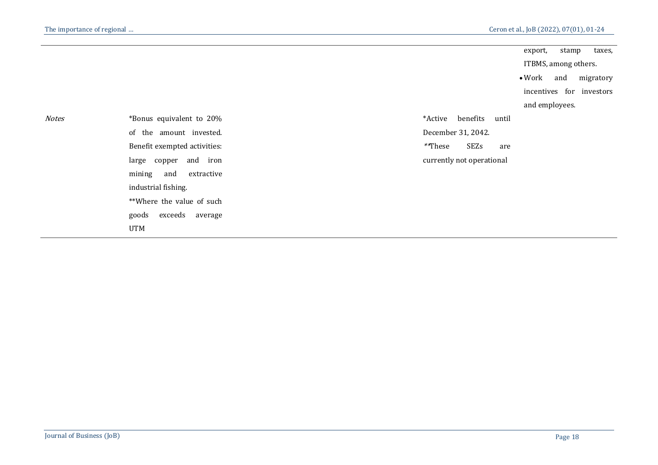|              |                              |                           |                    |       | export,              | stamp | taxes,                   |
|--------------|------------------------------|---------------------------|--------------------|-------|----------------------|-------|--------------------------|
|              |                              |                           |                    |       | ITBMS, among others. |       |                          |
|              |                              |                           |                    |       | $\bullet$ Work       | and   | migratory                |
|              |                              |                           |                    |       |                      |       | incentives for investors |
|              |                              |                           |                    |       | and employees.       |       |                          |
| <b>Notes</b> | *Bonus equivalent to 20%     | *Active                   | benefits           | until |                      |       |                          |
|              | of the amount invested.      |                           | December 31, 2042. |       |                      |       |                          |
|              | Benefit exempted activities: | **These                   | SEZs               | are   |                      |       |                          |
|              | large copper and iron        | currently not operational |                    |       |                      |       |                          |
|              | and<br>mining<br>extractive  |                           |                    |       |                      |       |                          |
|              | industrial fishing.          |                           |                    |       |                      |       |                          |
|              | **Where the value of such    |                           |                    |       |                      |       |                          |
|              | exceeds average<br>goods     |                           |                    |       |                      |       |                          |
|              | <b>UTM</b>                   |                           |                    |       |                      |       |                          |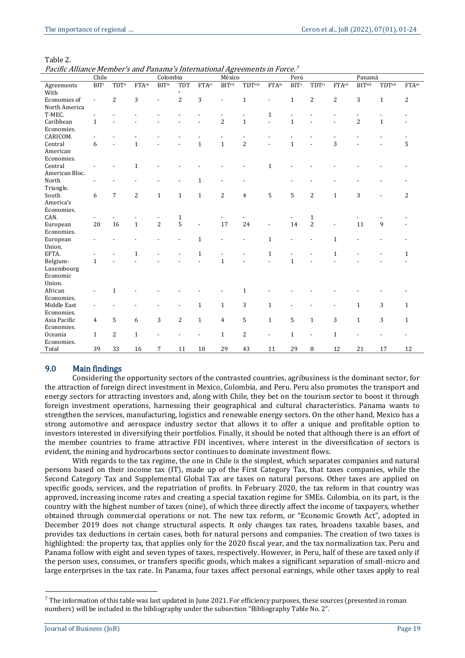Table 2.

Pacific Alliance Member's and Panama's International Agreements in Force. 7

|                | Chile                    |                |                | Colombia                 |                |                          | México                   |                |                   | Perú             |              |                | Panamá         |              |                          |
|----------------|--------------------------|----------------|----------------|--------------------------|----------------|--------------------------|--------------------------|----------------|-------------------|------------------|--------------|----------------|----------------|--------------|--------------------------|
| Agreements     | $\overline{BITi}$        | TDTii          | FTAiii         | <b>BITiv</b>             | <b>TDT</b>     | FTAvi                    | <b>BITvii</b>            | TDTviii        | FTA <sup>ix</sup> | $\overline{BIT}$ | TDTxi        | FTAxii         | <b>BITxiii</b> | TDTxiv       | <b>FTA</b> <sup>xv</sup> |
| With           |                          |                |                |                          | $\mathbf{v}$   |                          |                          |                |                   |                  |              |                |                |              |                          |
| Economies of   | $\overline{\phantom{a}}$ | $\overline{2}$ | 3              |                          | $\overline{2}$ | 3                        |                          | $\mathbf{1}$   |                   | $\mathbf{1}$     | 2            | $\overline{2}$ | 3              | $\mathbf{1}$ | 2                        |
| North America  |                          |                |                |                          |                |                          |                          |                |                   |                  |              |                |                |              |                          |
| T-MEC.         |                          |                |                |                          |                |                          |                          |                | $\mathbf{1}$      |                  |              |                |                |              |                          |
| Caribbean      | $\mathbf{1}$             |                |                |                          |                |                          | $\overline{2}$           | $\mathbf{1}$   |                   | $\mathbf{1}$     |              |                | $\overline{2}$ | $\mathbf{1}$ |                          |
| Economies.     |                          |                |                |                          |                |                          |                          |                |                   |                  |              |                |                |              |                          |
| CARICOM.       |                          |                |                |                          |                |                          |                          |                |                   |                  |              |                |                |              |                          |
| Central        | 6                        |                | $\mathbf{1}$   |                          |                | $\mathbf{1}$             | $\mathbf 1$              | $\overline{c}$ |                   | $\mathbf{1}$     |              | 3              |                |              | 5                        |
| American       |                          |                |                |                          |                |                          |                          |                |                   |                  |              |                |                |              |                          |
| Economies.     |                          |                |                |                          |                |                          |                          |                |                   |                  |              |                |                |              |                          |
| Central        |                          |                | $\mathbf{1}$   |                          |                |                          |                          |                | $\mathbf{1}$      |                  |              |                |                |              |                          |
| American Bloc. |                          |                |                |                          |                |                          |                          |                |                   |                  |              |                |                |              |                          |
| North          |                          |                |                |                          |                | 1                        |                          |                |                   |                  |              |                |                |              |                          |
| Triangle.      |                          |                |                |                          |                |                          |                          |                |                   |                  |              |                |                |              |                          |
| South          | 6                        | $\overline{7}$ | $\overline{c}$ | $\mathbf{1}$             | $\mathbf{1}$   | $\mathbf{1}$             | $\overline{c}$           | $\overline{4}$ | 5                 | 5                | 2            | $\mathbf{1}$   | 3              |              | 2                        |
| America's      |                          |                |                |                          |                |                          |                          |                |                   |                  |              |                |                |              |                          |
| Economies.     |                          |                |                |                          |                |                          |                          |                |                   |                  |              |                |                |              |                          |
| CAN.           |                          |                |                | $\overline{\phantom{a}}$ | $\mathbf{1}$   |                          |                          |                |                   |                  | $\mathbf{1}$ |                |                |              |                          |
| European       | 20                       | 16             | $\mathbf{1}$   | $\overline{2}$           | 5              | $\overline{\phantom{a}}$ | 17                       | 24             |                   | 14               | 2            | $\overline{a}$ | 11             | 9            |                          |
| Economies.     |                          |                |                |                          |                |                          |                          |                |                   |                  |              |                |                |              |                          |
| European       |                          |                |                |                          |                | $\mathbf{1}$             |                          |                | $\mathbf{1}$      |                  |              | $\mathbf{1}$   |                |              |                          |
| Union.         |                          |                |                |                          |                |                          |                          |                |                   |                  |              |                |                |              |                          |
| EFTA.          |                          |                | $\mathbf{1}$   |                          |                | $\mathbf{1}$             | $\overline{\phantom{a}}$ |                | $\mathbf{1}$      |                  |              | $\mathbf{1}$   |                |              | 1                        |
| Belgium-       | $\mathbf{1}$             |                |                |                          |                |                          | $\mathbf{1}$             |                |                   | $\mathbf{1}$     |              |                |                |              |                          |
| Luxembourg     |                          |                |                |                          |                |                          |                          |                |                   |                  |              |                |                |              |                          |
| Economic       |                          |                |                |                          |                |                          |                          |                |                   |                  |              |                |                |              |                          |
| Union.         |                          |                |                |                          |                |                          |                          |                |                   |                  |              |                |                |              |                          |
| African        |                          | 1              |                |                          |                |                          |                          | 1              |                   |                  |              |                |                |              |                          |
| Economies.     |                          |                |                |                          |                |                          |                          |                |                   |                  |              |                |                |              |                          |
| Middle East    |                          |                |                |                          |                | 1                        | $\mathbf{1}$             | 3              | $\mathbf{1}$      |                  |              |                | $\mathbf{1}$   | 3            | $\mathbf{1}$             |
| Economies.     |                          |                |                |                          |                |                          |                          |                |                   |                  |              |                |                |              |                          |
| Asia Pacific   | $\overline{4}$           | 5              | 6              | 3                        | $\overline{c}$ | $\mathbf{1}$             | $\overline{4}$           | 5              | $\mathbf{1}$      | 5                | $\mathbf{1}$ | 3              | $\mathbf{1}$   | 3            | $\mathbf{1}$             |
| Economies.     |                          |                |                |                          |                |                          |                          |                |                   |                  |              |                |                |              |                          |
| Oceania        | $\mathbf{1}$             | $\overline{c}$ | $\mathbf{1}$   |                          |                |                          | $\mathbf{1}$             | $\overline{c}$ | ٠                 | $\mathbf{1}$     |              | $\mathbf{1}$   |                |              |                          |
| Economies.     |                          |                |                |                          |                |                          |                          |                |                   |                  |              |                |                |              |                          |
| Total          | 39                       | 33             | 16             | $\overline{7}$           | 11             | 10                       | 29                       | 43             | 11                | 29               | 8            | 12             | 21             | 17           | 12                       |

#### 9.0 Main findings

Considering the opportunity sectors of the contrasted countries, agribusiness is the dominant sector, for the attraction of foreign direct investment in Mexico, Colombia, and Peru. Peru also promotes the transport and energy sectors for attracting investors and, along with Chile, they bet on the tourism sector to boost it through foreign investment operations, harnessing their geographical and cultural characteristics. Panama wants to strengthen the services, manufacturing, logistics and renewable energy sectors. On the other hand, Mexico has a strong automotive and aerospace industry sector that allows it to offer a unique and profitable option to investors interested in diversifying their portfolios. Finally, it should be noted that although there is an effort of the member countries to frame attractive FDI incentives, where interest in the diversification of sectors is evident, the mining and hydrocarbons sector continues to dominate investment flows.

With regards to the tax regime, the one in Chile is the simplest, which separates companies and natural persons based on their income tax (IT), made up of the First Category Tax, that taxes companies, while the Second Category Tax and Supplemental Global Tax are taxes on natural persons. Other taxes are applied on specific goods, services, and the repatriation of profits. In February 2020, the tax reform in that country was approved, increasing income rates and creating a special taxation regime for SMEs. Colombia, on its part, is the country with the highest number of taxes (nine), of which three directly affect the income of taxpayers, whether obtained through commercial operations or not. The new tax reform, or "Economic Growth Act", adopted in December 2019 does not change structural aspects. It only changes tax rates, broadens taxable bases, and provides tax deductions in certain cases, both for natural persons and companies. The creation of two taxes is highlighted: the property tax, that applies only for the 2020 fiscal year, and the tax normalization tax. Peru and Panama follow with eight and seven types of taxes, respectively. However, in Peru, half of these are taxed only if the person uses, consumes, or transfers specific goods, which makes a significant separation of small-micro and large enterprises in the tax rate. In Panama, four taxes affect personal earnings, while other taxes apply to real

 $\overline{a}$ 

 $^7$  The information of this table was last updated in June 2021. For efficiency purposes, these sources (presented in roman numbers) will be included in the bibliography under the subsection "Bibliography Table No. 2".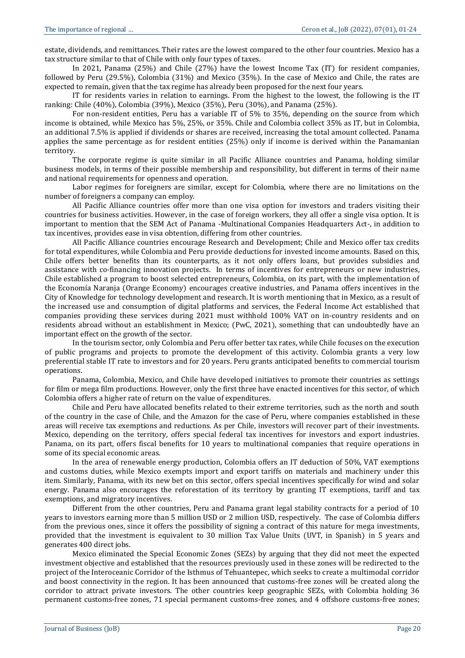estate, dividends, and remittances. Their rates are the lowest compared to the other four countries. Mexico has a tax structure similar to that of Chile with only four types of taxes.

In 2021, Panama (25%) and Chile (27%) have the lowest Income Tax (IT) for resident companies, followed by Peru (29.5%), Colombia (31%) and Mexico (35%). In the case of Mexico and Chile, the rates are expected to remain, given that the tax regime has already been proposed for the next four years.

IT for residents varies in relation to earnings. From the highest to the lowest, the following is the IT ranking: Chile (40%), Colombia (39%), Mexico (35%), Peru (30%), and Panama (25%).

For non-resident entities, Peru has a variable IT of 5% to 35%, depending on the source from which income is obtained, while Mexico has 5%, 25%, or 35%. Chile and Colombia collect 35% as IT, but in Colombia, an additional 7.5% is applied if dividends or shares are received, increasing the total amount collected. Panama applies the same percentage as for resident entities (25%) only if income is derived within the Panamanian territory.

The corporate regime is quite similar in all Pacific Alliance countries and Panama, holding similar business models, in terms of their possible membership and responsibility, but different in terms of their name and national requirements for openness and operation.

Labor regimes for foreigners are similar, except for Colombia, where there are no limitations on the number of foreigners a company can employ.

All Pacific Alliance countries offer more than one visa option for investors and traders visiting their countries for business activities. However, in the case of foreign workers, they all offer a single visa option. It is important to mention that the SEM Act of Panama -Multinational Companies Headquarters Act-, in addition to tax incentives, provides ease in visa obtention, differing from other countries.

All Pacific Alliance countries encourage Research and Development; Chile and Mexico offer tax credits for total expenditures, while Colombia and Peru provide deductions for invested income amounts. Based on this, Chile offers better benefits than its counterparts, as it not only offers loans, but provides subsidies and assistance with co-financing innovation projects. In terms of incentives for entrepreneurs or new industries, Chile established a program to boost selected entrepreneurs, Colombia, on its part, with the implementation of the Economía Naranja (Orange Economy) encourages creative industries, and Panama offers incentives in the City of Knowledge for technology development and research. It is worth mentioning that in Mexico, as a result of the increased use and consumption of digital platforms and services, the Federal Income Act established that companies providing these services during 2021 must withhold 100% VAT on in-country residents and on residents abroad without an establishment in Mexico; (PwC, 2021), something that can undoubtedly have an important effect on the growth of the sector.

In the tourism sector, only Colombia and Peru offer better tax rates, while Chile focuses on the execution of public programs and projects to promote the development of this activity. Colombia grants a very low preferential stable IT rate to investors and for 20 years. Peru grants anticipated benefits to commercial tourism operations.

Panama, Colombia, Mexico, and Chile have developed initiatives to promote their countries as settings for film or mega film productions. However, only the first three have enacted incentives for this sector, of which Colombia offers a higher rate of return on the value of expenditures.

Chile and Peru have allocated benefits related to their extreme territories, such as the north and south of the country in the case of Chile, and the Amazon for the case of Peru, where companies established in these areas will receive tax exemptions and reductions. As per Chile, investors will recover part of their investments. Mexico, depending on the territory, offers special federal tax incentives for investors and export industries. Panama, on its part, offers fiscal benefits for 10 years to multinational companies that require operations in some of its special economic areas.

In the area of renewable energy production, Colombia offers an IT deduction of 50%, VAT exemptions and customs duties, while Mexico exempts import and export tariffs on materials and machinery under this item. Similarly, Panama, with its new bet on this sector, offers special incentives specifically for wind and solar energy. Panama also encourages the reforestation of its territory by granting IT exemptions, tariff and tax exemptions, and migratory incentives.

Different from the other countries, Peru and Panama grant legal stability contracts for a period of 10 years to investors earning more than 5 million USD or 2 million USD, respectively. The case of Colombia differs from the previous ones, since it offers the possibility of signing a contract of this nature for mega investments, provided that the investment is equivalent to 30 million Tax Value Units (UVT, in Spanish) in 5 years and generates 400 direct jobs.

Mexico eliminated the Special Economic Zones (SEZs) by arguing that they did not meet the expected investment objective and established that the resources previously used in these zones will be redirected to the project of the Interoceanic Corridor of the Isthmus of Tehuantepec, which seeks to create a multimodal corridor and boost connectivity in the region. It has been announced that customs-free zones will be created along the corridor to attract private investors. The other countries keep geographic SEZs, with Colombia holding 36 permanent customs-free zones, 71 special permanent customs-free zones, and 4 offshore customs-free zones;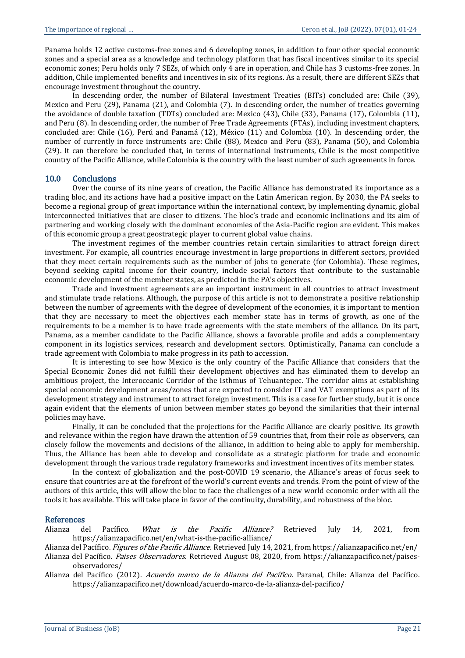Panama holds 12 active customs-free zones and 6 developing zones, in addition to four other special economic zones and a special area as a knowledge and technology platform that has fiscal incentives similar to its special economic zones; Peru holds only 7 SEZs, of which only 4 are in operation, and Chile has 3 customs-free zones. In addition, Chile implemented benefits and incentives in six of its regions. As a result, there are different SEZs that encourage investment throughout the country.

In descending order, the number of Bilateral Investment Treaties (BITs) concluded are: Chile (39), Mexico and Peru (29), Panama (21), and Colombia (7). In descending order, the number of treaties governing the avoidance of double taxation (TDTs) concluded are: Mexico (43), Chile (33), Panama (17), Colombia (11), and Peru (8). In descending order, the number of Free Trade Agreements (FTAs), including investment chapters, concluded are: Chile (16), Perú and Panamá (12), México (11) and Colombia (10). In descending order, the number of currently in force instruments are: Chile (88), Mexico and Peru (83), Panama (50), and Colombia (29). It can therefore be concluded that, in terms of international instruments, Chile is the most competitive country of the Pacific Alliance, while Colombia is the country with the least number of such agreements in force.

#### 10.0 Conclusions

Over the course of its nine years of creation, the Pacific Alliance has demonstrated its importance as a trading bloc, and its actions have had a positive impact on the Latin American region. By 2030, the PA seeks to become a regional group of great importance within the international context, by implementing dynamic, global interconnected initiatives that are closer to citizens. The bloc's trade and economic inclinations and its aim of partnering and working closely with the dominant economies of the Asia-Pacific region are evident. This makes of this economic group a great geostrategic player to current global value chains.

The investment regimes of the member countries retain certain similarities to attract foreign direct investment. For example, all countries encourage investment in large proportions in different sectors, provided that they meet certain requirements such as the number of jobs to generate (for Colombia). These regimes, beyond seeking capital income for their country, include social factors that contribute to the sustainable economic development of the member states, as predicted in the PA's objectives.

Trade and investment agreements are an important instrument in all countries to attract investment and stimulate trade relations. Although, the purpose of this article is not to demonstrate a positive relationship between the number of agreements with the degree of development of the economies, it is important to mention that they are necessary to meet the objectives each member state has in terms of growth, as one of the requirements to be a member is to have trade agreements with the state members of the alliance. On its part, Panama, as a member candidate to the Pacific Alliance, shows a favorable profile and adds a complementary component in its logistics services, research and development sectors. Optimistically, Panama can conclude a trade agreement with Colombia to make progress in its path to accession.

It is interesting to see how Mexico is the only country of the Pacific Alliance that considers that the Special Economic Zones did not fulfill their development objectives and has eliminated them to develop an ambitious project, the Interoceanic Corridor of the Isthmus of Tehuantepec. The corridor aims at establishing special economic development areas/zones that are expected to consider IT and VAT exemptions as part of its development strategy and instrument to attract foreign investment. This is a case for further study, but it is once again evident that the elements of union between member states go beyond the similarities that their internal policies may have.

Finally, it can be concluded that the projections for the Pacific Alliance are clearly positive. Its growth and relevance within the region have drawn the attention of 59 countries that, from their role as observers, can closely follow the movements and decisions of the alliance, in addition to being able to apply for membership. Thus, the Alliance has been able to develop and consolidate as a strategic platform for trade and economic development through the various trade regulatory frameworks and investment incentives of its member states.

In the context of globalization and the post-COVID 19 scenario, the Alliance's areas of focus seek to ensure that countries are at the forefront of the world's current events and trends. From the point of view of the authors of this article, this will allow the bloc to face the challenges of a new world economic order with all the tools it has available. This will take place in favor of the continuity, durability, and robustness of the bloc.

#### References

Alianza del Pacífico. *What is the Pacific Alliance?* Retrieved July 14, 2021, from <https://alianzapacifico.net/en/what-is-the-pacific-alliance/>

Alianza del Pacífico. Figures of the Pacific Alliance. Retrieved July 14, 2021, fro[m https://alianzapacifico.net/en/](https://alianzapacifico.net/en/)

Alianza del Pacífico. Paises Observadores. Retrieved August 08, 2020, from [https://alianzapacifico.net/paises](https://alianzapacifico.net/paises-observadores/)[observadores/](https://alianzapacifico.net/paises-observadores/)

Alianza del Pacífico (2012). Acuerdo marco de la Alianza del Pacífico. Paranal, Chile: Alianza del Pacífico. <https://alianzapacifico.net/download/acuerdo-marco-de-la-alianza-del-pacifico/>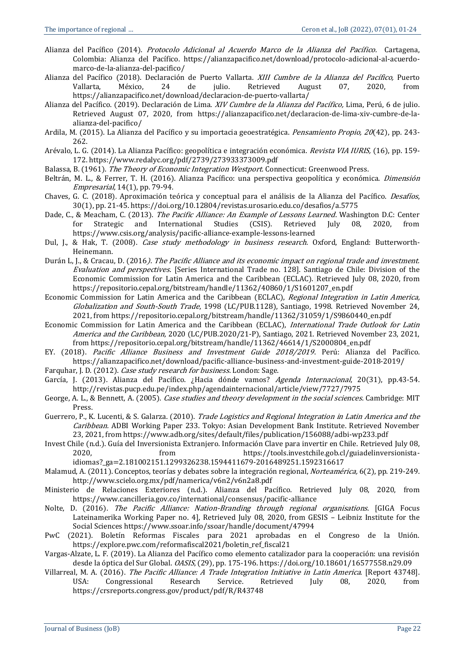- Alianza del Pacífico (2014). Protocolo Adicional al Acuerdo Marco de la Alianza del Pacífico. Cartagena, Colombia: Alianza del Pacífico. [https://alianzapacifico.net/download/protocolo-adicional-al-acuerdo](https://alianzapacifico.net/download/protocolo-adicional-al-acuerdo-marco-de-la-alianza-del-pacifico/)[marco-de-la-alianza-del-pacifico/](https://alianzapacifico.net/download/protocolo-adicional-al-acuerdo-marco-de-la-alianza-del-pacifico/)
- Alianza del Pacífico (2018). Declaración de Puerto Vallarta. XIII Cumbre de la Alianza del Pacífico, Puerto Vallarta, México, 24 de julio. Retrieved August 07, 2020, from <https://alianzapacifico.net/download/declaracion-de-puerto-vallarta/>
- Alianza del Pacífico. (2019). Declaración de Lima. *XIV Cumbre de la Alianza del Pacífico*, Lima, Perú, 6 de iulio. Retrieved August 07, 2020, from [https://alianzapacifico.net/declaracion-de-lima-xiv-cumbre-de-la](https://alianzapacifico.net/declaracion-de-lima-xiv-cumbre-de-la-alianza-del-pacifico/)[alianza-del-pacifico/](https://alianzapacifico.net/declaracion-de-lima-xiv-cumbre-de-la-alianza-del-pacifico/)
- Ardila, M. (2015). La Alianza del Pacífico y su importacia geoestratégica. Pensamiento Propio, 20(42), pp. 243-262.
- Arévalo, L. G. (2014). La Alianza Pacífico: geopolítica e integración económica. Revista VIA IURIS, (16), pp. 159-172[. https://www.redalyc.org/pdf/2739/273933373009.pdf](https://www.redalyc.org/pdf/2739/273933373009.pdf)
- Balassa, B. (1961). The Theory of Economic Integration Westport. Connecticut: Greenwood Press.
- Beltrán, M. L., & Ferrer, T. H. (2016). Alianza Pacífico: una perspectiva geopolítica y económica. *Dimensión* Empresarial, 14(1), pp. 79-94.
- Chaves, G. C. (2018). Aproximación teórica y conceptual para el análisis de la Alianza del Pacífico. Desafíos, 30(1), pp. 21-45.<https://doi.org/10.12804/revistas.urosario.edu.co/desafios/a.5775>
- Dade, C., & Meacham, C. (2013). The Pacific Alliance: An Example of Lessons Learned. Washington D.C: Center for Strategic and International Studies (CSIS). Retrieved July 08, 2020, from <https://www.csis.org/analysis/pacific-alliance-example-lessons-learned>
- Dul, J., & Hak, T. (2008). Case study methodology in business research. Oxford, England: Butterworth-Heinemann.
- Durán L, J., & Cracau, D. (2016). The Pacific Alliance and its economic impact on regional trade and investment. Evaluation and perspectives. [Series International Trade no. 128]. Santiago de Chile: Division of the Economic Commission for Latin America and the Caribbean (ECLAC). Retrieved July 08, 2020, from [https://repositorio.cepal.org/bitstream/handle/11362/40860/1/S1601207\\_en.pdf](https://repositorio.cepal.org/bitstream/handle/11362/40860/1/S1601207_en.pdf)
- Economic Commission for Latin America and the Caribbean (ECLAC), Regional Integration in Latin America, Globalization and South-South Trade, 1998 (LC/PUB.1128), Santiago, 1998. Retrieved November 24, 2021, from [https://repositorio.cepal.org/bitstream/handle/11362/31059/1/S9860440\\_en.pdf](https://repositorio.cepal.org/bitstream/handle/11362/31059/1/S9860440_en.pdf)
- Economic Commission for Latin America and the Caribbean (ECLAC), International Trade Outlook for Latin America and the Caribbean, 2020 (LC/PUB.2020/21-P), Santiago, 2021. Retrieved November 23, 2021, fro[m https://repositorio.cepal.org/bitstream/handle/11362/46614/1/S2000804\\_en.pdf](https://repositorio.cepal.org/bitstream/handle/11362/46614/1/S2000804_en.pdf)
- EY. (2018). Pacific Alliance Business and Investment Guide 2018/2019. Perú: Alianza del Pacífico. <https://alianzapacifico.net/download/pacific-alliance-business-and-investment-guide-2018-2019/>
- Farquhar, J. D. (2012). Case study research for business. London: Sage.
- García, J. (2013). Alianza del Pacífico. ¿Hacia dónde vamos? Agenda Internacional, 20(31), pp.43-54. <http://revistas.pucp.edu.pe/index.php/agendainternacional/article/view/7727/7975>
- George, A. L., & Bennett, A. (2005). Case studies and theory development in the social sciences. Cambridge: MIT Press.
- Guerrero, P., K. Lucenti, & S. Galarza. (2010). Trade Logistics and Regional Integration in Latin America and the Caribbean. ADBI Working Paper 233. Tokyo: Asian Development Bank Institute. Retrieved November 23, 2021, fro[m https://www.adb.org/sites/default/files/publication/156088/adbi-wp233.pdf](https://www.adb.org/sites/default/files/publication/156088/adbi-wp233.pdf)
- Invest Chile (n.d.). Guía del Inversionista Extranjero. Información Clave para invertir en Chile. Retrieved July 08, 2020, from [https://tools.investchile.gob.cl/guiadelinversionista](https://tools.investchile.gob.cl/guiadelinversionista-idiomas?_ga=2.181002151.1299326238.1594411679-2016489251.1592316617)[idiomas?\\_ga=2.181002151.1299326238.1594411679-2016489251.1592316617](https://tools.investchile.gob.cl/guiadelinversionista-idiomas?_ga=2.181002151.1299326238.1594411679-2016489251.1592316617)
- Malamud, A. (2011). Conceptos, teorías y debates sobre la integración regional, Norteamérica, 6(2), pp. 219-249. <http://www.scielo.org.mx/pdf/namerica/v6n2/v6n2a8.pdf>
- Ministerio de Relaciones Exteriores (n.d.). Alianza del Pacífico. Retrieved July 08, 2020, from <https://www.cancilleria.gov.co/international/consensus/pacific-alliance>
- Nolte, D. (2016). The Pacific Alliance: Nation-Branding through regional organisations. [GIGA Focus Lateinamerika Working Paper no. 4], Retrieved July 08, 2020, from GESIS – Leibniz Institute for the Social Sciences<https://www.ssoar.info/ssoar/handle/document/47994>
- PwC (2021). Boletín Reformas Fiscales para 2021 aprobadas en el Congreso de la Unión. [https://explore.pwc.com/reformafiscal2021/boletin\\_ref\\_fiscal21](https://explore.pwc.com/reformafiscal2021/boletin_ref_fiscal21)
- Vargas-Alzate, L. F. (2019). La Alianza del Pacífico como elemento catalizador para la cooperación: una revisión desde la óptica del Sur Global. OASIS, (29), pp. 175-196.<https://doi.org/10.18601/16577558.n29.09>
- Villarreal, M. A. (2016). The Pacific Alliance: A Trade Integration Initiative in Latin America. [Report 43748]. USA: Congressional Research Service. Retrieved July 08, 2020, from <https://crsreports.congress.gov/product/pdf/R/R43748>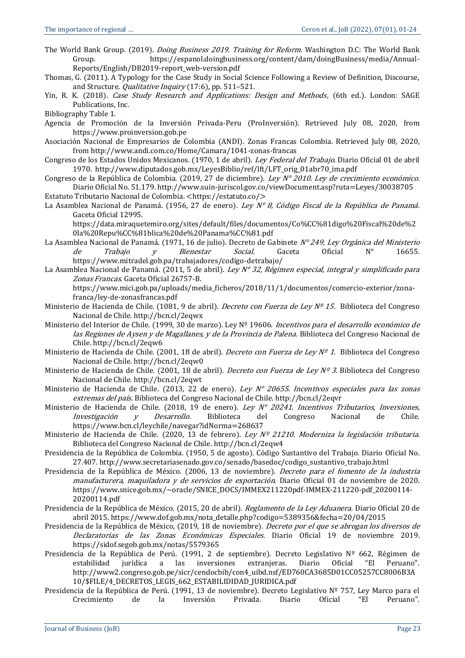The World Bank Group. (2019). *Doing Business 2019. Training for Reform*. Washington D.C: The World Bank Group. [https://espanol.doingbusiness.org/content/dam/doingBusiness/media/Annual-](https://espanol.doingbusiness.org/content/dam/doingBusiness/media/Annual-Reports/English/DB2019-report_web-version.pdf)[Reports/English/DB2019-report\\_web-version.pdf](https://espanol.doingbusiness.org/content/dam/doingBusiness/media/Annual-Reports/English/DB2019-report_web-version.pdf)

- Thomas, G. (2011). A Typology for the Case Study in Social Science Following a Review of Definition, Discourse, and Structure. *Qualitative Inquiry* (17:6), pp. 511-521.
- Yin, R. K. (2018). Case Study Research and Applications: Design and Methods, (6th ed.). London: SAGE Publications, Inc.

Bibliography Table 1.

- Agencia de Promoción de la Inversión Privada-Peru (ProInversión). Retrieved July 08, 2020, from [https://www.proinversion.gob.pe](https://www.proinversion.gob.pe/)
- Asociación Nacional de Empresarios de Colombia (ANDI). Zonas Francas Colombia. Retrieved July 08, 2020, fro[m http://www.andi.com.co/Home/Camara/1041-zonas-francas](http://www.andi.com.co/Home/Camara/1041-zonas-francas)
- Congreso de los Estados Unidos Mexicanos. (1970, 1 de abril). Ley Federal del Trabajo. Diario Oficial 01 de abril 1970. [http://www.diputados.gob.mx/LeyesBiblio/ref/lft/LFT\\_orig\\_01abr70\\_ima.pdf](http://www.diputados.gob.mx/LeyesBiblio/ref/lft/LFT_orig_01abr70_ima.pdf)
- Congreso de la República de Colombia. (2019, 27 de diciembre). Ley  $N^{\circ}$  2010. Ley de crecimiento económico. Diario Oficial No. 51.179. <http://www.suin-juriscol.gov.co/viewDocument.asp?ruta=Leyes/30038705>
- Estatuto Tributario Nacional de Colombia. [<https://estatuto.co/>](https://estatuto.co/)
- La Asamblea Nacional de Panamá. (1956, 27 de enero). Ley N° 8, Código Fiscal de la República de Panamá. Gaceta Oficial 12995.

[https://data.miraquetemiro.org/sites/default/files/documentos/Co%CC%81digo%20Fiscal%20de%2](https://data.miraquetemiro.org/sites/default/files/documentos/Co%CC%81digo%20Fiscal%20de%20la%20Repu%CC%81blica%20de%20Panama%CC%81.pdf) [0la%20Repu%CC%81blica%20de%20Panama%CC%81.pdf](https://data.miraquetemiro.org/sites/default/files/documentos/Co%CC%81digo%20Fiscal%20de%20la%20Repu%CC%81blica%20de%20Panama%CC%81.pdf)

- La Asamblea Nacional de Panamá. (1971, 16 de julio). Decreto de Gabinete  $N^{\circ}$ 249, Ley Orgánica del Ministerio de *Trabajo y Bienestar Social.* Gaceta Oficial N° 16655. <https://www.mitradel.gob.pa/trabajadores/codigo-detrabajo/>
- La Asamblea Nacional de Panamá. (2011, 5 de abril). Ley N° 32, Régimen especial, integral y simplificado para Zonas Francas. Gaceta Oficial 26757-B.

[https://www.mici.gob.pa/uploads/media\\_ficheros/2018/11/1/documentos/comercio-exterior/zona](https://www.mici.gob.pa/uploads/media_ficheros/2018/11/1/documentos/comercio-exterior/zona-franca/ley-de-zonasfrancas.pdf)[franca/ley-de-zonasfrancas.pdf](https://www.mici.gob.pa/uploads/media_ficheros/2018/11/1/documentos/comercio-exterior/zona-franca/ley-de-zonasfrancas.pdf)

- Ministerio de Hacienda de Chile. (1081, 9 de abril). *Decreto con Fuerza de Ley Nº 15*. Biblioteca del Congreso Nacional de Chile[. http://bcn.cl/2eqwx](http://bcn.cl/2eqwx)
- Ministerio del Interior de Chile. (1999, 30 de marzo). Ley Nº 19606. Incentivos para el desarrollo económico de las Regiones de Aysen y de Magallanes, y de la Provincia de Palena. Biblioteca del Congreso Nacional de Chile[. http://bcn.cl/2eqw6](http://bcn.cl/2eqw6)
- Ministerio de Hacienda de Chile. (2001, 18 de abril). Decreto con Fuerza de Ley Nº 1. Biblioteca del Congreso Nacional de Chile[. http://bcn.cl/2eqw0](http://bcn.cl/2eqw0)
- Ministerio de Hacienda de Chile. (2001, 18 de abril). *Decreto con Fuerza de Ley Nº 3.* Biblioteca del Congreso Nacional de Chile[. http://bcn.cl/2eqwt](http://bcn.cl/2eqwt)
- Ministerio de Hacienda de Chile. (2013, 22 de enero). Ley  $N^{\circ}$  20655. Incentivos especiales para las zonas extremas del país. Biblioteca del Congreso Nacional de Chile.<http://bcn.cl/2eqvr>
- Ministerio de Hacienda de Chile. (2018, 19 de enero). Ley N° 20241. Incentivos Tributarios, Inversiones, Investigación y Desarrollo. Biblioteca del Congreso Nacional de Chile. <https://www.bcn.cl/leychile/navegar?idNorma=268637>
- Ministerio de Hacienda de Chile. (2020, 13 de febrero). Ley Nº 21210. Moderniza la legislación tributaria. Biblioteca del Congreso Nacional de Chile.<http://bcn.cl/2eqw4>
- Presidencia de la República de Colombia. (1950, 5 de agosto). Código Sustantivo del Trabajo. Diario Oficial No. 27.407[. http://www.secretariasenado.gov.co/senado/basedoc/codigo\\_sustantivo\\_trabajo.html](http://www.secretariasenado.gov.co/senado/basedoc/codigo_sustantivo_trabajo.html)
- Presidencia de la República de México. (2006, 13 de noviembre). Decreto para el fomento de la industria manufacturera, maquiladora y de servicios de exportación. Diario Oficial 01 de noviembre de 2020. [https://www.snice.gob.mx/~oracle/SNICE\\_DOCS/IMMEX211220pdf-IMMEX-211220-pdf\\_20200114-](https://www.snice.gob.mx/~oracle/SNICE_DOCS/IMMEX211220pdf-IMMEX-211220-pdf_20200114-20200114.pdf) [20200114.pdf](https://www.snice.gob.mx/~oracle/SNICE_DOCS/IMMEX211220pdf-IMMEX-211220-pdf_20200114-20200114.pdf)
- Presidencia de la República de México. (2015, 20 de abril). Reglamento de la Ley Aduanera. Diario Oficial 20 de abril 2015. [https://www.dof.gob.mx/nota\\_detalle.php?codigo=5389356&fecha=20/04/2015](https://www.dof.gob.mx/nota_detalle.php?codigo=5389356&fecha=20/04/2015)
- Presidencia de la República de México, (2019, 18 de noviembre). Decreto por el que se abrogan los diversos de Declaratorias de las Zonas Económicas Especiales. Diario Oficial 19 de noviembre 2019. <https://sidof.segob.gob.mx/notas/5579365>
- Presidencia de la República de Perú. (1991, 2 de septiembre). Decreto Legislativo Nº 662, Régimen de estabilidad jurídica a las inversiones extranjeras. Diario Oficial "El Peruano". [http://www2.congreso.gob.pe/sicr/cendocbib/con4\\_uibd.nsf/ED760CA3685D01CC05257CC8006B3A](http://www2.congreso.gob.pe/sicr/cendocbib/con4_uibd.nsf/ED760CA3685D01CC05257CC8006B3A10/$FILE/4_DECRETOS_LEGIS_662_ESTABILIDIDAD_JURIDICA.pdf) [10/\\$FILE/4\\_DECRETOS\\_LEGIS\\_662\\_ESTABILIDIDAD\\_JURIDICA.pdf](http://www2.congreso.gob.pe/sicr/cendocbib/con4_uibd.nsf/ED760CA3685D01CC05257CC8006B3A10/$FILE/4_DECRETOS_LEGIS_662_ESTABILIDIDAD_JURIDICA.pdf)
- Presidencia de la República de Perú. (1991, 13 de noviembre). Decreto Legislativo Nº 757, Ley Marco para el Crecimiento de la Inversión Privada. Diario Oficial "El Peruano".